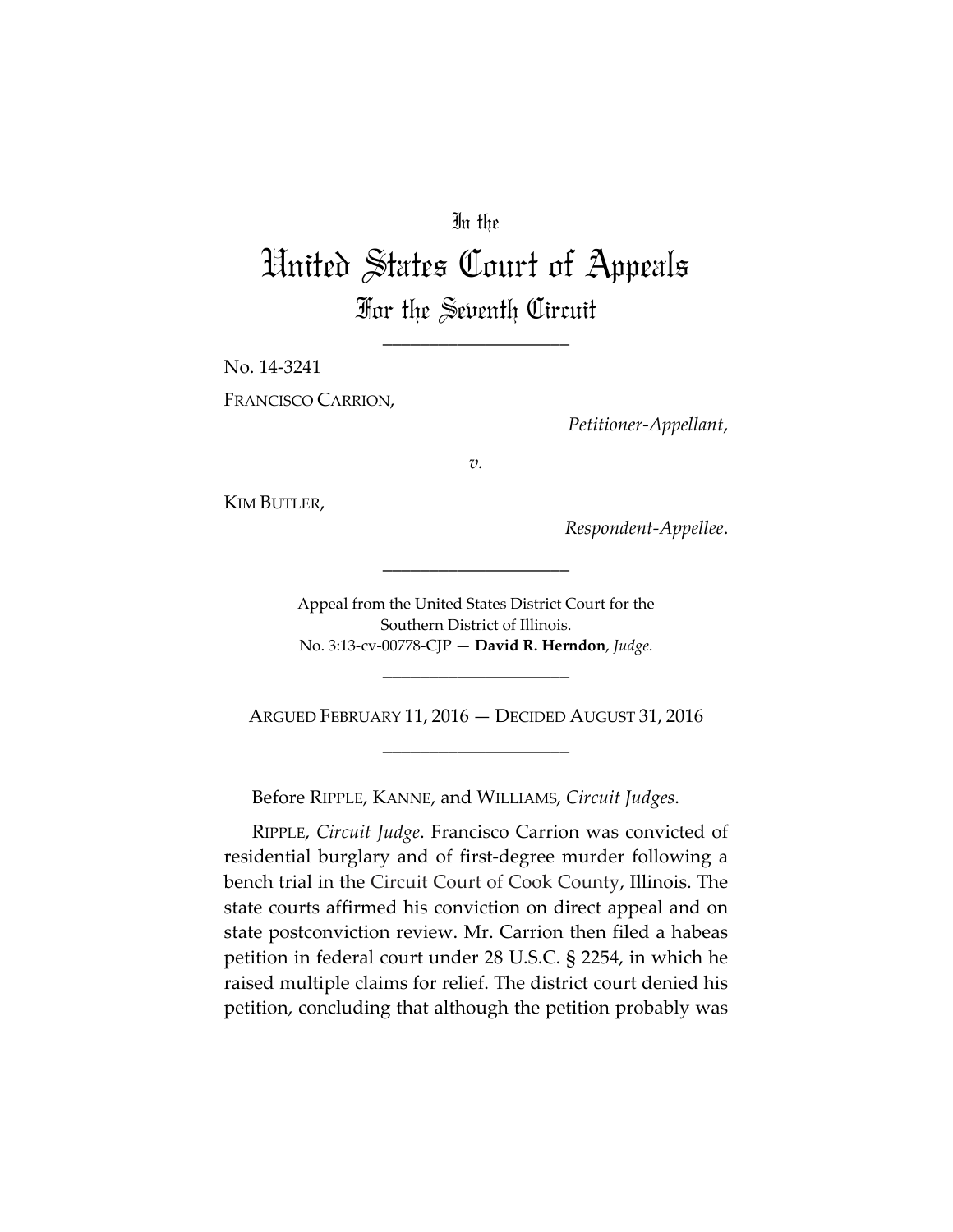## In the

# United States Court of Appeals For the Seventh Circuit

\_\_\_\_\_\_\_\_\_\_\_\_\_\_\_\_\_\_\_\_

No. 14‐3241 FRANCISCO CARRION,

*Petitioner‐Appellant*,

*v.*

KIM BUTLER,

*Respondent‐Appellee*.

Appeal from the United States District Court for the Southern District of Illinois. No. 3:13‐cv‐00778‐CJP — **David R. Herndon**, *Judge*.

\_\_\_\_\_\_\_\_\_\_\_\_\_\_\_\_\_\_\_\_

ARGUED FEBRUARY 11, 2016 — DECIDED AUGUST 31, 2016 \_\_\_\_\_\_\_\_\_\_\_\_\_\_\_\_\_\_\_\_

\_\_\_\_\_\_\_\_\_\_\_\_\_\_\_\_\_\_\_\_

Before RIPPLE, KANNE, and WILLIAMS, *Circuit Judges*.

RIPPLE, *Circuit Judge*. Francisco Carrion was convicted of residential burglary and of first‐degree murder following a bench trial in the Circuit Court of Cook County, Illinois. The state courts affirmed his conviction on direct appeal and on state postconviction review. Mr. Carrion then filed a habeas petition in federal court under 28 U.S.C. § 2254, in which he raised multiple claims for relief. The district court denied his petition, concluding that although the petition probably was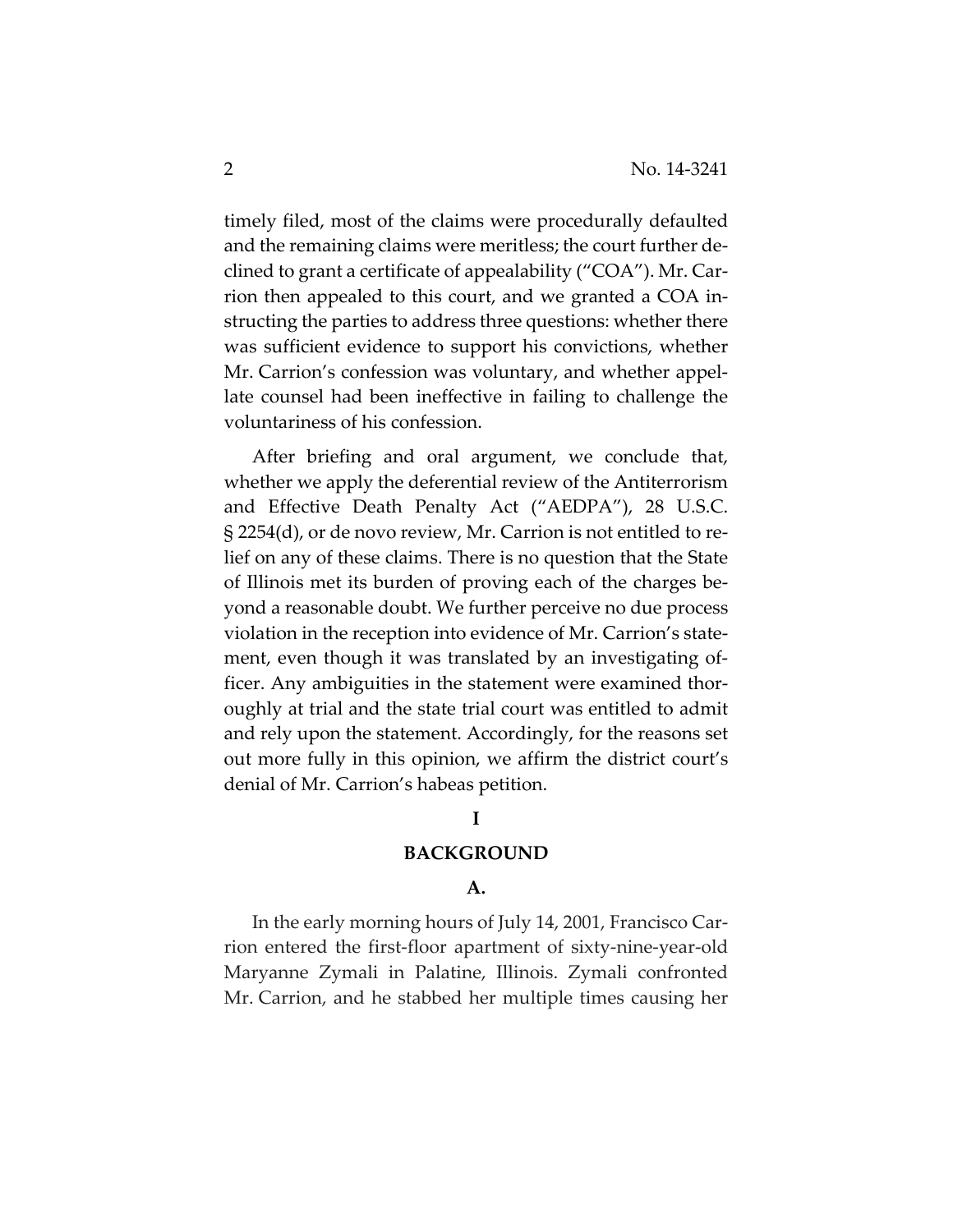timely filed, most of the claims were procedurally defaulted and the remaining claims were meritless; the court further de‐ clined to grant a certificate of appealability ("COA"). Mr. Car‐ rion then appealed to this court, and we granted a COA in‐ structing the parties to address three questions: whether there was sufficient evidence to support his convictions, whether Mr. Carrion's confession was voluntary, and whether appellate counsel had been ineffective in failing to challenge the voluntariness of his confession.

After briefing and oral argument, we conclude that, whether we apply the deferential review of the Antiterrorism and Effective Death Penalty Act ("AEDPA"), 28 U.S.C. § 2254(d), or de novo review, Mr. Carrion is not entitled to re‐ lief on any of these claims. There is no question that the State of Illinois met its burden of proving each of the charges be‐ yond a reasonable doubt. We further perceive no due process violation in the reception into evidence of Mr. Carrion's state‐ ment, even though it was translated by an investigating officer. Any ambiguities in the statement were examined thor‐ oughly at trial and the state trial court was entitled to admit and rely upon the statement. Accordingly, for the reasons set out more fully in this opinion, we affirm the district court's denial of Mr. Carrion's habeas petition.

#### **I**

#### **BACKGROUND**

## **A.**

In the early morning hours of July 14, 2001, Francisco Car‐ rion entered the first‐floor apartment of sixty‐nine‐year‐old Maryanne Zymali in Palatine, Illinois. Zymali confronted Mr. Carrion, and he stabbed her multiple times causing her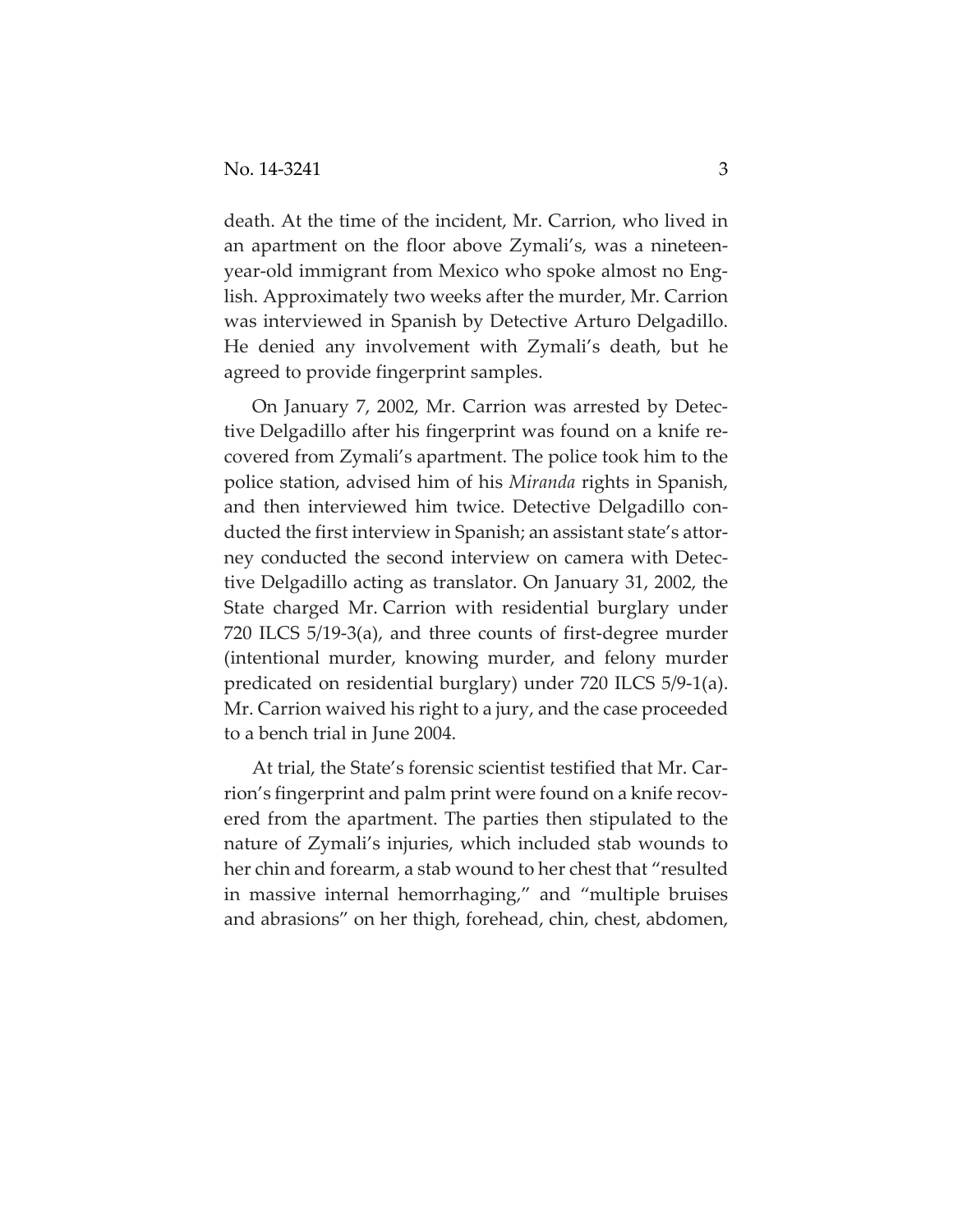death. At the time of the incident, Mr. Carrion, who lived in an apartment on the floor above Zymali's, was a nineteen‐ year‐old immigrant from Mexico who spoke almost no Eng‐ lish. Approximately two weeks after the murder, Mr. Carrion was interviewed in Spanish by Detective Arturo Delgadillo. He denied any involvement with Zymali's death, but he agreed to provide fingerprint samples.

On January 7, 2002, Mr. Carrion was arrested by Detec‐ tive Delgadillo after his fingerprint was found on a knife re‐ covered from Zymali's apartment. The police took him to the police station, advised him of his *Miranda* rights in Spanish, and then interviewed him twice. Detective Delgadillo con‐ ducted the first interview in Spanish; an assistant state's attor‐ ney conducted the second interview on camera with Detec‐ tive Delgadillo acting as translator. On January 31, 2002, the State charged Mr. Carrion with residential burglary under 720 ILCS 5/19‐3(a), and three counts of first‐degree murder (intentional murder, knowing murder, and felony murder predicated on residential burglary) under 720 ILCS 5/9‐1(a). Mr. Carrion waived his right to a jury, and the case proceeded to a bench trial in June 2004.

At trial, the State's forensic scientist testified that Mr. Car‐ rion's fingerprint and palm print were found on a knife recovered from the apartment. The parties then stipulated to the nature of Zymali's injuries, which included stab wounds to her chin and forearm, a stab wound to her chest that "resulted in massive internal hemorrhaging," and "multiple bruises and abrasions" on her thigh, forehead, chin, chest, abdomen,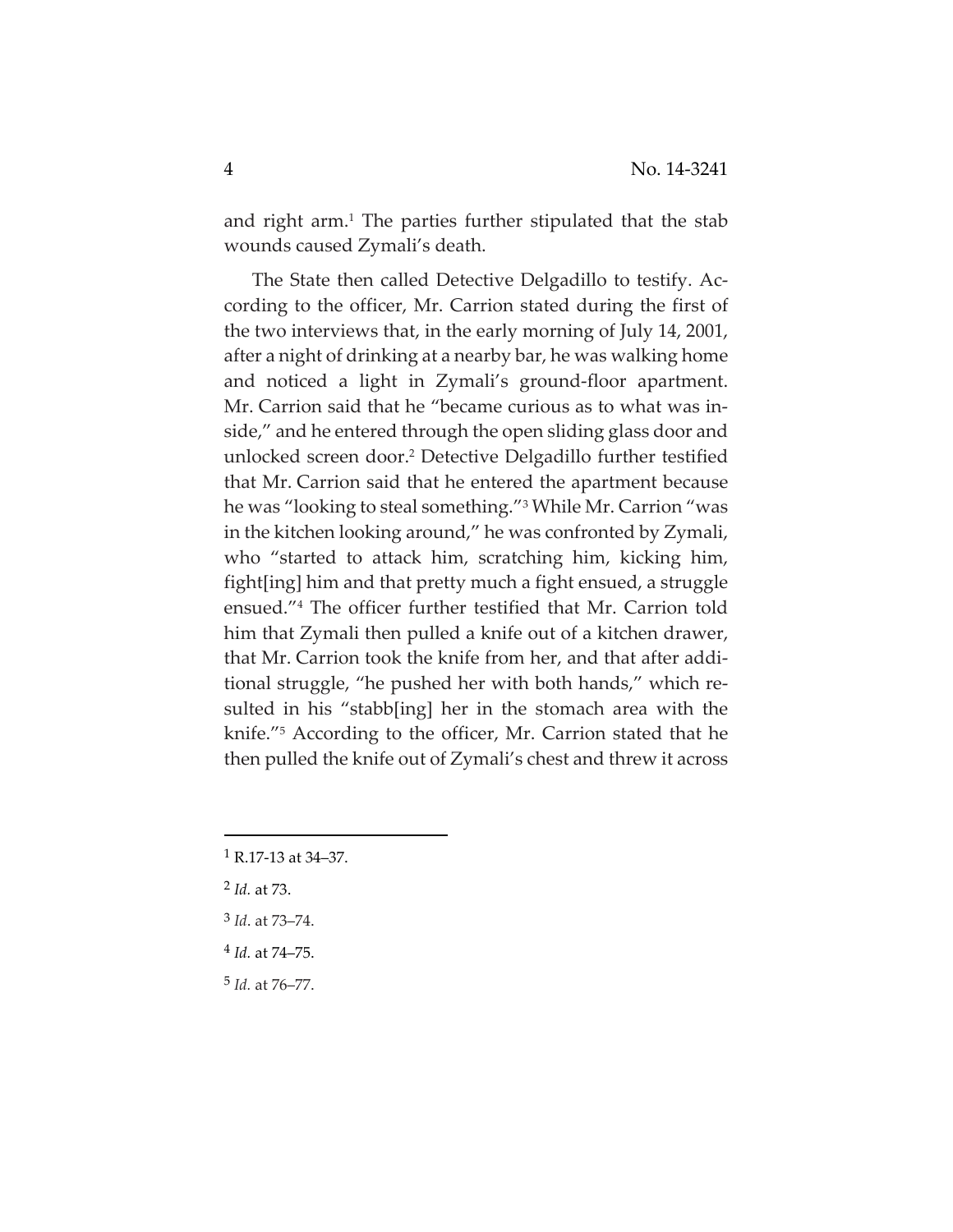and right arm.<sup>1</sup> The parties further stipulated that the stab wounds caused Zymali's death.

The State then called Detective Delgadillo to testify. Ac‐ cording to the officer, Mr. Carrion stated during the first of the two interviews that, in the early morning of July 14, 2001, after a night of drinking at a nearby bar, he was walking home and noticed a light in Zymali's ground‐floor apartment. Mr. Carrion said that he "became curious as to what was in‐ side," and he entered through the open sliding glass door and unlocked screen door.2 Detective Delgadillo further testified that Mr. Carrion said that he entered the apartment because he was "looking to steal something."3 While Mr. Carrion "was in the kitchen looking around," he was confronted by Zymali, who "started to attack him, scratching him, kicking him, fight[ing] him and that pretty much a fight ensued, a struggle ensued."4 The officer further testified that Mr. Carrion told him that Zymali then pulled a knife out of a kitchen drawer, that Mr. Carrion took the knife from her, and that after addi‐ tional struggle, "he pushed her with both hands," which re‐ sulted in his "stabb[ing] her in the stomach area with the knife."5 According to the officer, Mr. Carrion stated that he then pulled the knife out of Zymali's chest and threw it across

- <sup>2</sup> *Id.* at 73.
- <sup>3</sup> *Id*. at 73–74.
- <sup>4</sup> *Id.* at 74–75.
- <sup>5</sup> *Id.* at 76–77.

 $1$  R.17-13 at 34–37.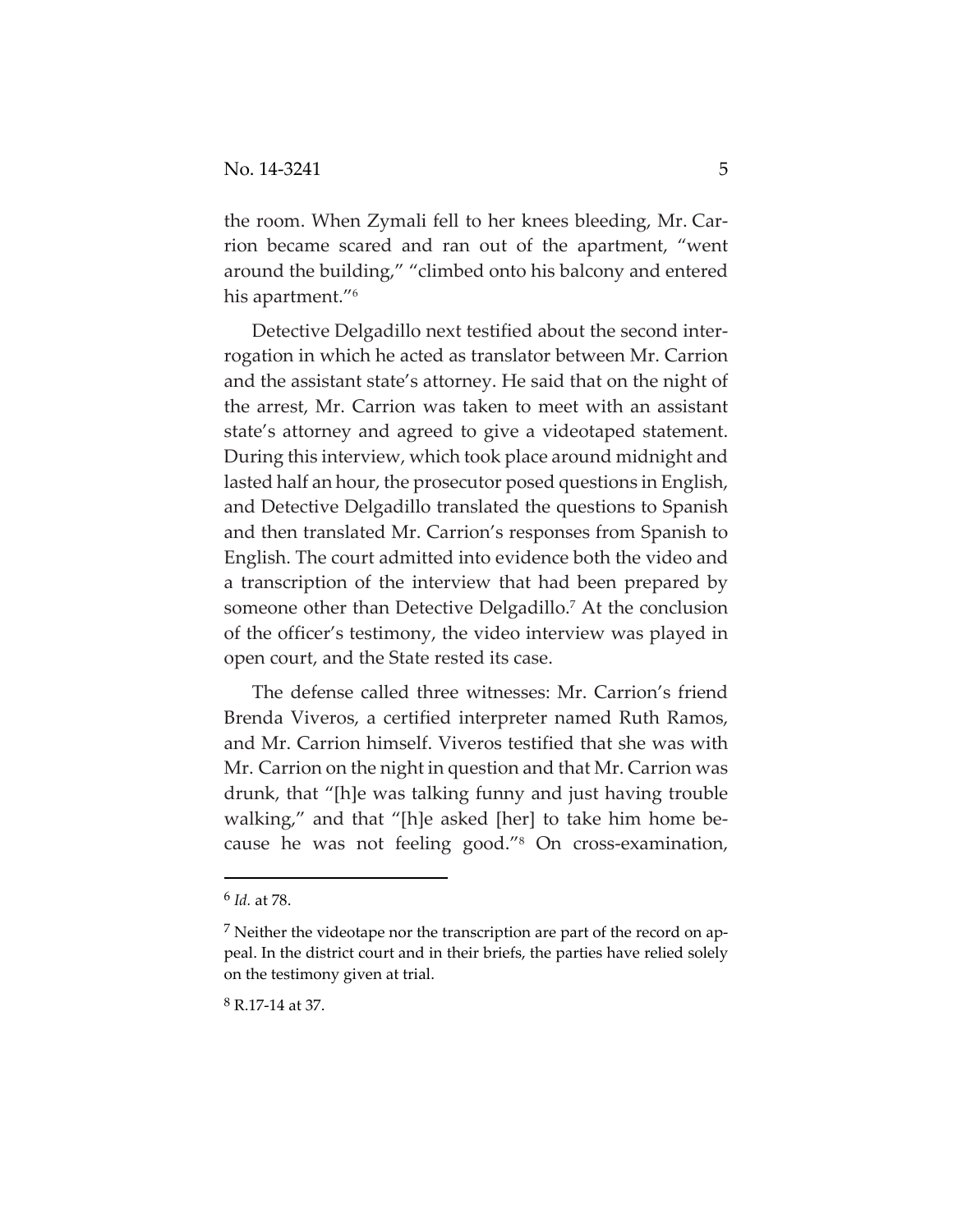the room. When Zymali fell to her knees bleeding, Mr. Car‐ rion became scared and ran out of the apartment, "went around the building," "climbed onto his balcony and entered his apartment."<sup>6</sup>

Detective Delgadillo next testified about the second inter‐ rogation in which he acted as translator between Mr. Carrion and the assistant state's attorney. He said that on the night of the arrest, Mr. Carrion was taken to meet with an assistant state's attorney and agreed to give a videotaped statement. During this interview, which took place around midnight and lasted half an hour, the prosecutor posed questions in English, and Detective Delgadillo translated the questions to Spanish and then translated Mr. Carrion's responses from Spanish to English. The court admitted into evidence both the video and a transcription of the interview that had been prepared by someone other than Detective Delgadillo.<sup>7</sup> At the conclusion of the officer's testimony, the video interview was played in open court, and the State rested its case.

The defense called three witnesses: Mr. Carrion's friend Brenda Viveros, a certified interpreter named Ruth Ramos, and Mr. Carrion himself. Viveros testified that she was with Mr. Carrion on the night in question and that Mr. Carrion was drunk, that "[h]e was talking funny and just having trouble walking," and that "[h]e asked [her] to take him home be‐ cause he was not feeling good."8 On cross‐examination,

<sup>8</sup> R.17‐14 at 37.

<sup>6</sup> *Id.* at 78.

<sup>7</sup> Neither the videotape nor the transcription are part of the record on ap‐ peal. In the district court and in their briefs, the parties have relied solely on the testimony given at trial.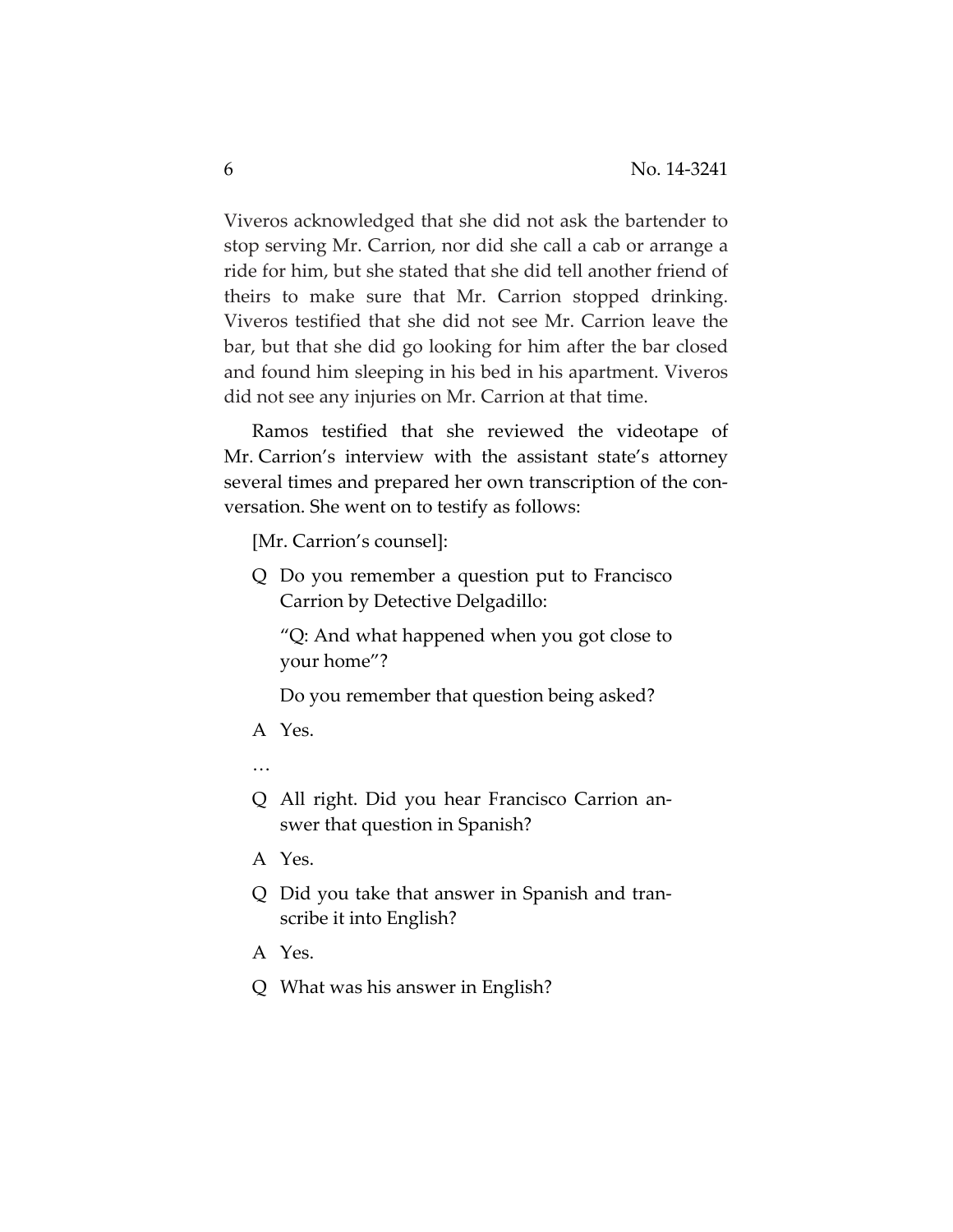Viveros acknowledged that she did not ask the bartender to stop serving Mr. Carrion, nor did she call a cab or arrange a ride for him, but she stated that she did tell another friend of theirs to make sure that Mr. Carrion stopped drinking. Viveros testified that she did not see Mr. Carrion leave the bar, but that she did go looking for him after the bar closed and found him sleeping in his bed in his apartment. Viveros did not see any injuries on Mr. Carrion at that time.

Ramos testified that she reviewed the videotape of Mr. Carrion's interview with the assistant state's attorney several times and prepared her own transcription of the conversation. She went on to testify as follows:

[Mr. Carrion's counsel]:

Q Do you remember a question put to Francisco Carrion by Detective Delgadillo:

"Q: And what happened when you got close to your home"?

Do you remember that question being asked?

A Yes.

…

- Q All right. Did you hear Francisco Carrion an‐ swer that question in Spanish?
- A Yes.
- Q Did you take that answer in Spanish and tran‐ scribe it into English?
- A Yes.
- Q What was his answer in English?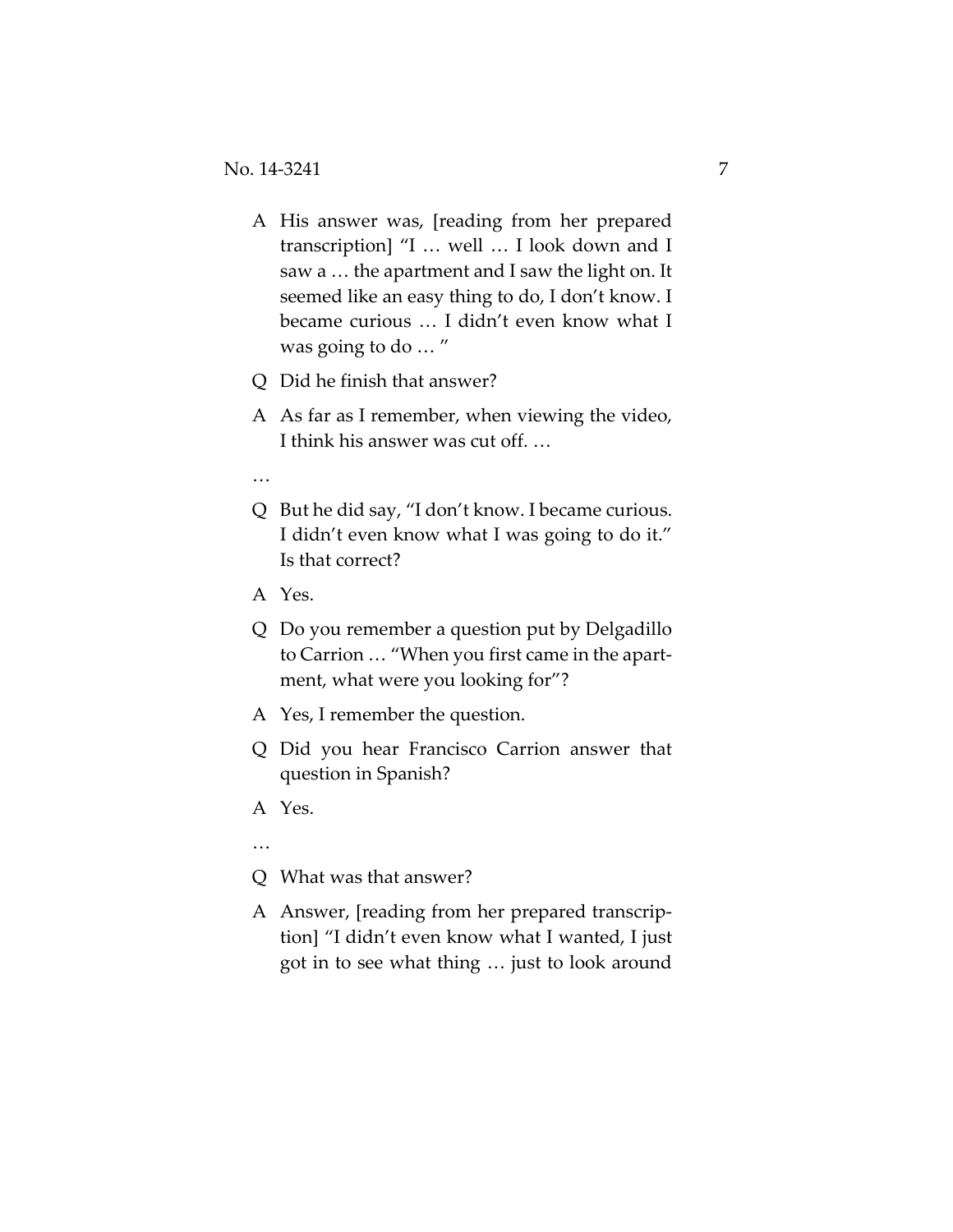- A His answer was, [reading from her prepared transcription] "I … well … I look down and I saw a … the apartment and I saw the light on. It seemed like an easy thing to do, I don't know. I became curious … I didn't even know what I was going to do … "
- Q Did he finish that answer?
- A As far as I remember, when viewing the video, I think his answer was cut off. …
- …
- Q But he did say, "I don't know. I became curious. I didn't even know what I was going to do it." Is that correct?
- A Yes.
- Q Do you remember a question put by Delgadillo to Carrion … "When you first came in the apart‐ ment, what were you looking for"?
- A Yes, I remember the question.
- Q Did you hear Francisco Carrion answer that question in Spanish?
- A Yes.
- …
- Q What was that answer?
- A Answer, [reading from her prepared transcrip‐ tion] "I didn't even know what I wanted, I just got in to see what thing … just to look around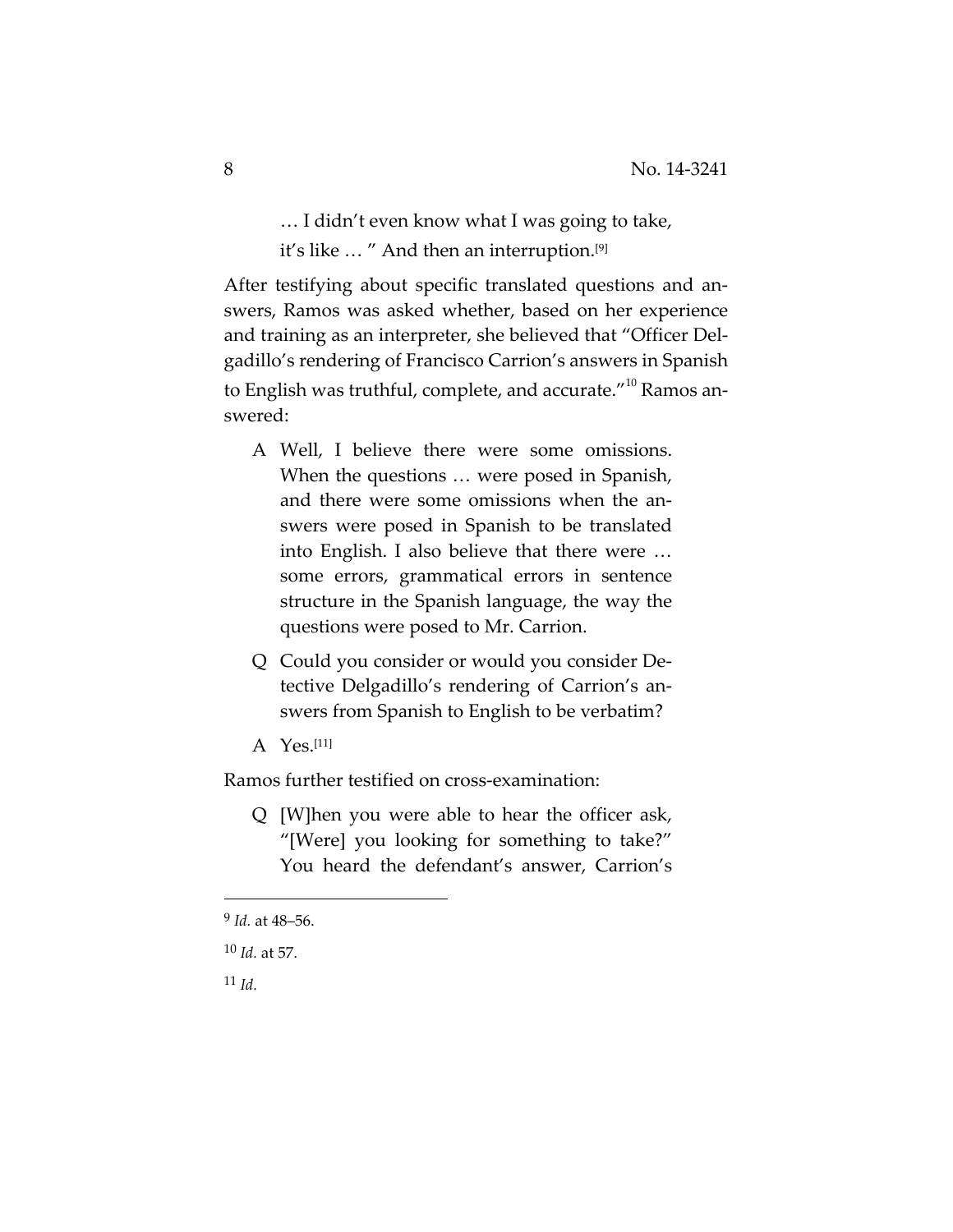… I didn't even know what I was going to take, it's like ... " And then an interruption.<sup>[9]</sup>

After testifying about specific translated questions and an‐ swers, Ramos was asked whether, based on her experience and training as an interpreter, she believed that "Officer Del‐ gadillo's rendering of Francisco Carrion's answers in Spanish to English was truthful, complete, and accurate."<sup>10</sup> Ramos answered:

- A Well, I believe there were some omissions. When the questions … were posed in Spanish, and there were some omissions when the an‐ swers were posed in Spanish to be translated into English. I also believe that there were … some errors, grammatical errors in sentence structure in the Spanish language, the way the questions were posed to Mr. Carrion.
- Q Could you consider or would you consider De‐ tective Delgadillo's rendering of Carrion's an‐ swers from Spanish to English to be verbatim?
- A Yes.[11]

Ramos further testified on cross‐examination:

Q [W]hen you were able to hear the officer ask, "[Were] you looking for something to take?" You heard the defendant's answer, Carrion's

<sup>11</sup> *Id.*

<sup>9</sup> *Id.* at 48–56.

<sup>10</sup> *Id.* at 57.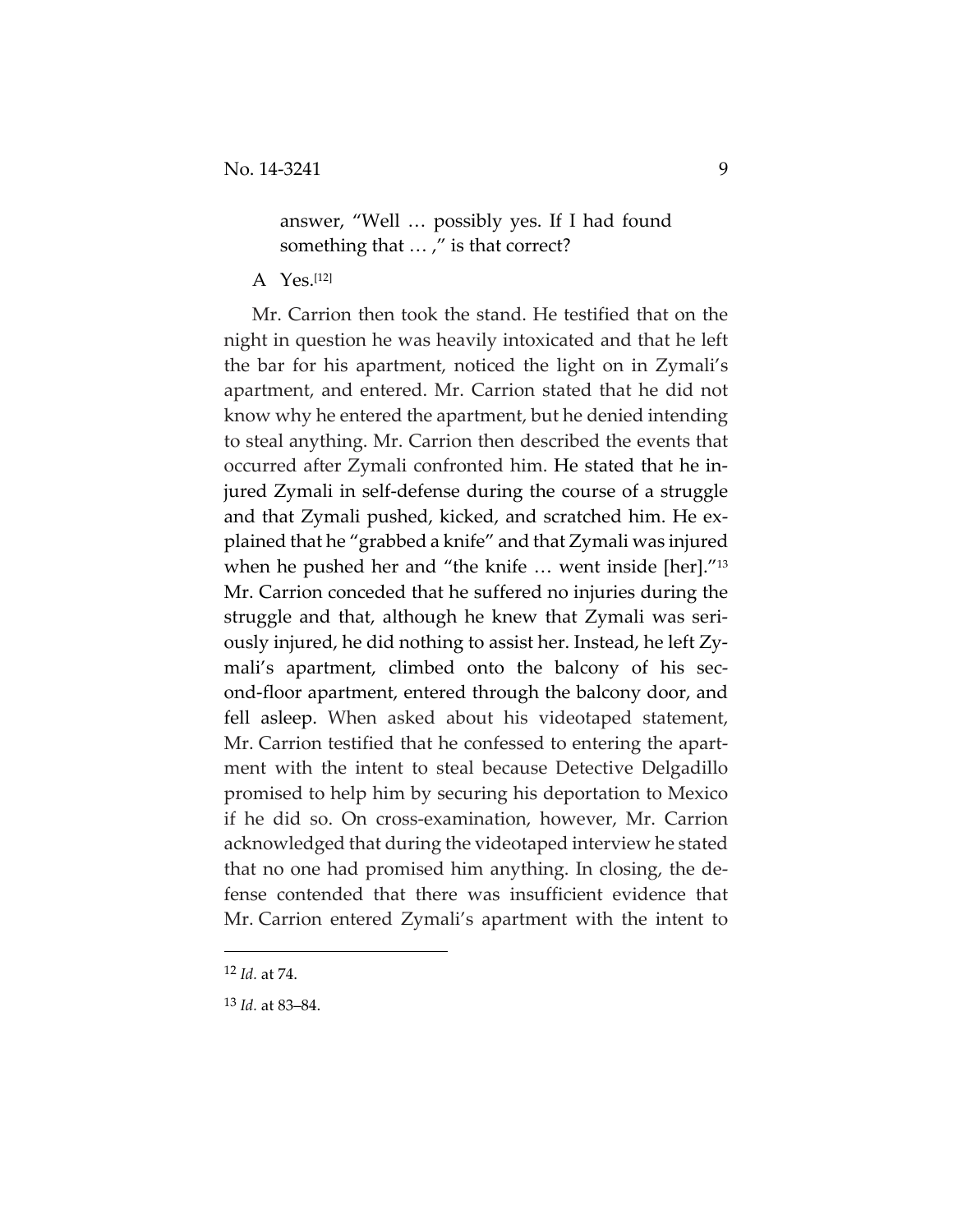## answer, "Well … possibly yes. If I had found something that ...," is that correct?

A Yes.[12]

Mr. Carrion then took the stand. He testified that on the night in question he was heavily intoxicated and that he left the bar for his apartment, noticed the light on in Zymali's apartment, and entered. Mr. Carrion stated that he did not know why he entered the apartment, but he denied intending to steal anything. Mr. Carrion then described the events that occurred after Zymali confronted him. He stated that he in‐ jured Zymali in self‐defense during the course of a struggle and that Zymali pushed, kicked, and scratched him. He ex‐ plained that he "grabbed a knife" and that Zymali was injured when he pushed her and "the knife ... went inside [her]."<sup>13</sup> Mr. Carrion conceded that he suffered no injuries during the struggle and that, although he knew that Zymali was seri‐ ously injured, he did nothing to assist her. Instead, he left Zy‐ mali's apartment, climbed onto the balcony of his second‐floor apartment, entered through the balcony door, and fell asleep. When asked about his videotaped statement, Mr. Carrion testified that he confessed to entering the apartment with the intent to steal because Detective Delgadillo promised to help him by securing his deportation to Mexico if he did so. On cross‐examination, however, Mr. Carrion acknowledged that during the videotaped interview he stated that no one had promised him anything. In closing, the de‐ fense contended that there was insufficient evidence that Mr. Carrion entered Zymali's apartment with the intent to

<sup>12</sup> *Id.* at 74.

<sup>13</sup> *Id.* at 83–84.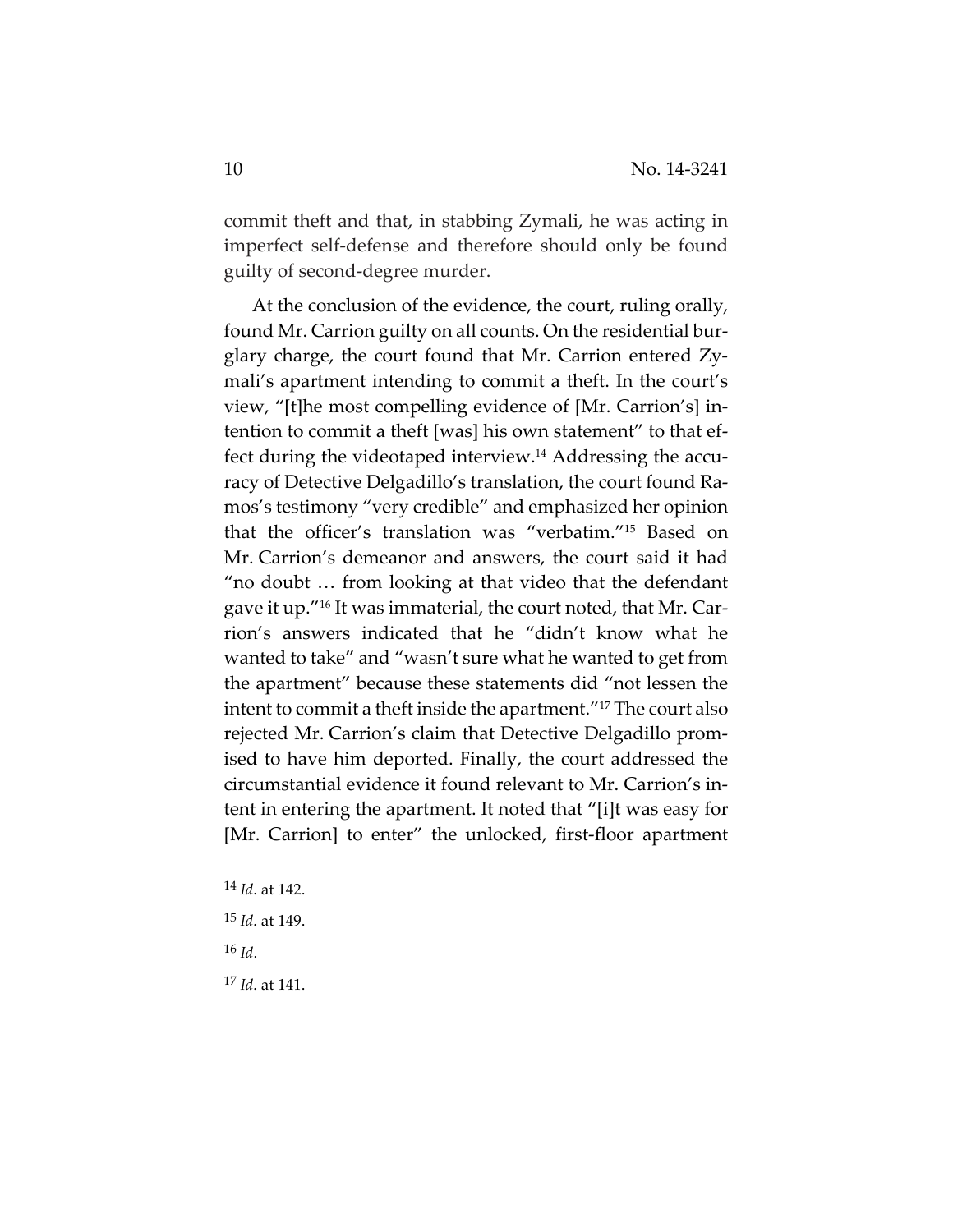commit theft and that, in stabbing Zymali, he was acting in imperfect self‐defense and therefore should only be found guilty of second‐degree murder.

At the conclusion of the evidence, the court, ruling orally, found Mr. Carrion guilty on all counts. On the residential bur‐ glary charge, the court found that Mr. Carrion entered Zy‐ mali's apartment intending to commit a theft. In the court's view, "[t]he most compelling evidence of [Mr. Carrion's] in‐ tention to commit a theft [was] his own statement" to that ef‐ fect during the videotaped interview.<sup>14</sup> Addressing the accuracy of Detective Delgadillo's translation, the court found Ra‐ mos's testimony "very credible" and emphasized her opinion that the officer's translation was "verbatim."15 Based on Mr. Carrion's demeanor and answers, the court said it had "no doubt … from looking at that video that the defendant gave it up."16 It was immaterial, the court noted, that Mr. Car‐ rion's answers indicated that he "didn't know what he wanted to take" and "wasn't sure what he wanted to get from the apartment" because these statements did "not lessen the intent to commit a theft inside the apartment."17 The court also rejected Mr. Carrion's claim that Detective Delgadillo prom‐ ised to have him deported. Finally, the court addressed the circumstantial evidence it found relevant to Mr. Carrion's in‐ tent in entering the apartment. It noted that "[i]t was easy for [Mr. Carrion] to enter" the unlocked, first‐floor apartment

<sup>16</sup> *Id*.

<sup>17</sup> *Id.* at 141.

<sup>14</sup> *Id.* at 142.

<sup>15</sup> *Id.* at 149.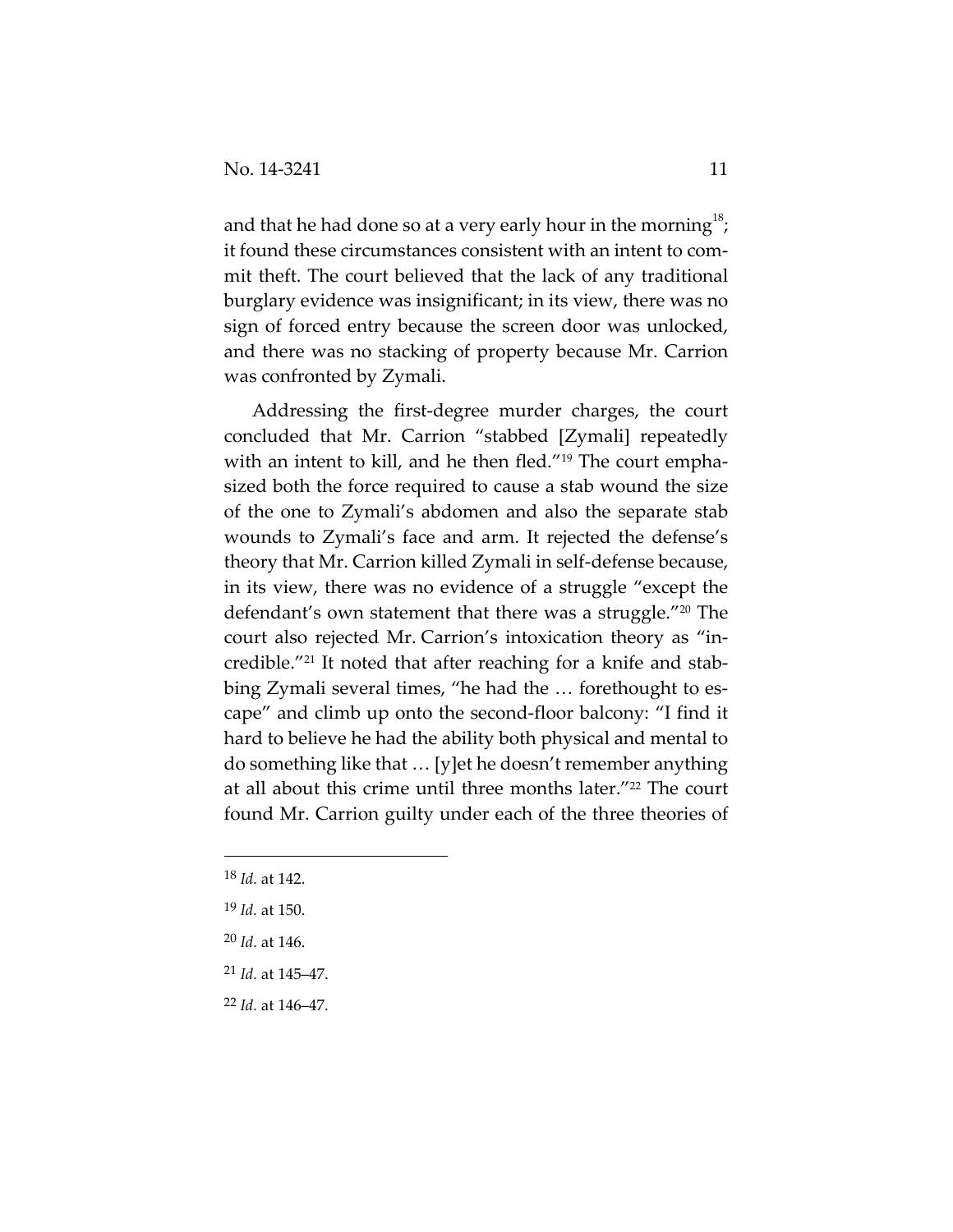and that he had done so at a very early hour in the morning $^{18};$ it found these circumstances consistent with an intent to com‐ mit theft. The court believed that the lack of any traditional burglary evidence was insignificant; in its view, there was no sign of forced entry because the screen door was unlocked, and there was no stacking of property because Mr. Carrion was confronted by Zymali.

Addressing the first‐degree murder charges, the court concluded that Mr. Carrion "stabbed [Zymali] repeatedly with an intent to kill, and he then fled."<sup>19</sup> The court emphasized both the force required to cause a stab wound the size of the one to Zymali's abdomen and also the separate stab wounds to Zymali's face and arm. It rejected the defense's theory that Mr. Carrion killed Zymali in self‐defense because, in its view, there was no evidence of a struggle "except the defendant's own statement that there was a struggle."20 The court also rejected Mr. Carrion's intoxication theory as "in‐ credible."<sup>21</sup> It noted that after reaching for a knife and stabbing Zymali several times, "he had the ... forethought to escape" and climb up onto the second‐floor balcony: "I find it hard to believe he had the ability both physical and mental to do something like that … [y]et he doesn't remember anything at all about this crime until three months later."<sup>22</sup> The court found Mr. Carrion guilty under each of the three theories of

- <sup>21</sup> *Id.* at 145–47.
- <sup>22</sup> *Id.* at 146–47.

<sup>18</sup> *Id.* at 142.

<sup>19</sup> *Id.* at 150.

<sup>20</sup> *Id.* at 146.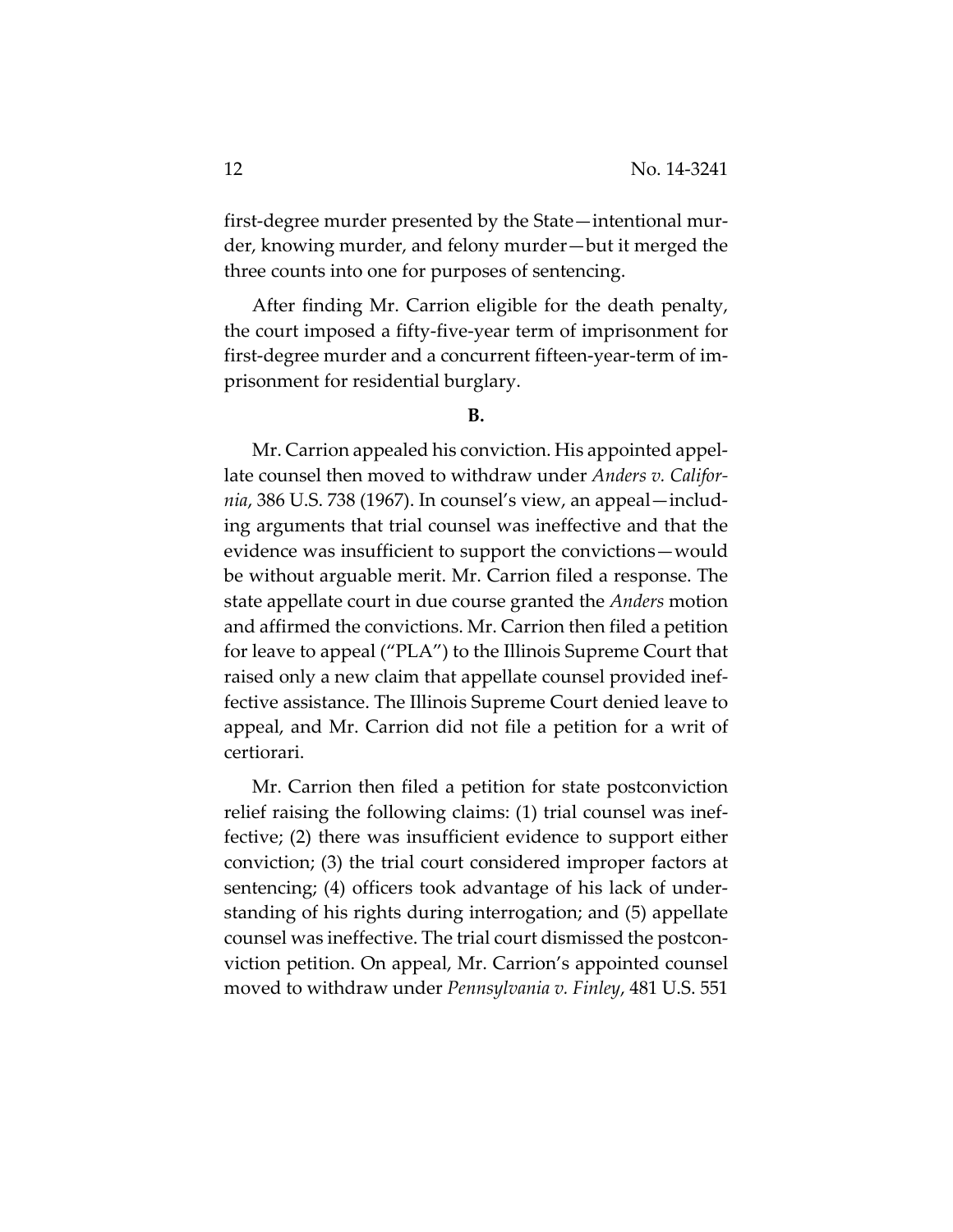first-degree murder presented by the State—intentional murder, knowing murder, and felony murder—but it merged the three counts into one for purposes of sentencing.

After finding Mr. Carrion eligible for the death penalty, the court imposed a fifty‐five‐year term of imprisonment for first‐degree murder and a concurrent fifteen‐year‐term of im‐ prisonment for residential burglary.

Mr. Carrion appealed his conviction. His appointed appel‐ late counsel then moved to withdraw under *Anders v. Califor‐ nia*, 386 U.S. 738 (1967). In counsel's view, an appeal—includ‐ ing arguments that trial counsel was ineffective and that the evidence was insufficient to support the convictions—would be without arguable merit. Mr. Carrion filed a response. The state appellate court in due course granted the *Anders* motion and affirmed the convictions. Mr. Carrion then filed a petition for leave to appeal ("PLA") to the Illinois Supreme Court that raised only a new claim that appellate counsel provided inef‐ fective assistance. The Illinois Supreme Court denied leave to appeal, and Mr. Carrion did not file a petition for a writ of certiorari.

Mr. Carrion then filed a petition for state postconviction relief raising the following claims: (1) trial counsel was inef‐ fective; (2) there was insufficient evidence to support either conviction; (3) the trial court considered improper factors at sentencing; (4) officers took advantage of his lack of under‐ standing of his rights during interrogation; and (5) appellate counsel was ineffective. The trial court dismissed the postcon‐ viction petition. On appeal, Mr. Carrion's appointed counsel moved to withdraw under *Pennsylvania v. Finley*, 481 U.S. 551

**B.**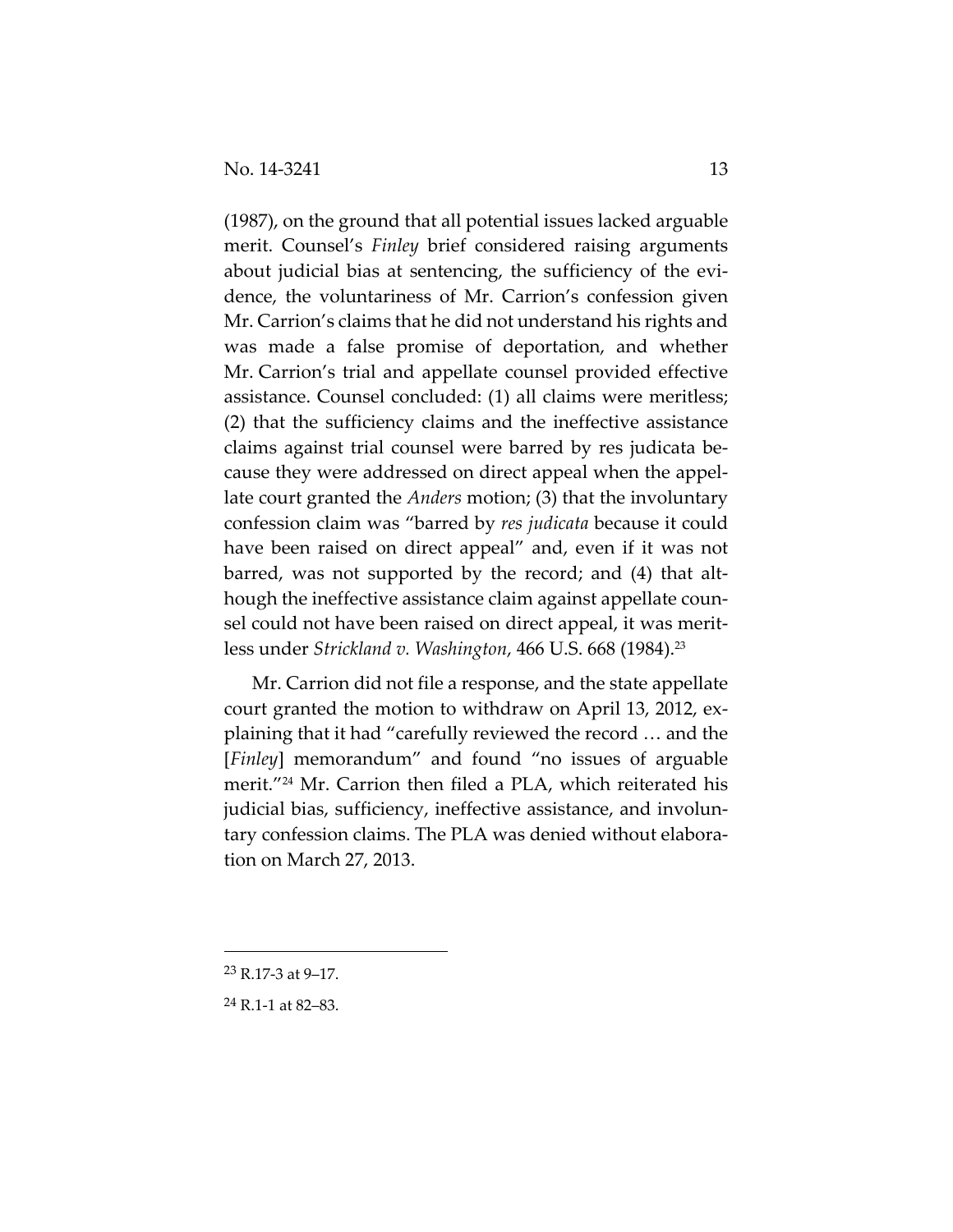(1987), on the ground that all potential issues lacked arguable merit. Counsel's *Finley* brief considered raising arguments about judicial bias at sentencing, the sufficiency of the evi‐ dence, the voluntariness of Mr. Carrion's confession given Mr. Carrion's claims that he did not understand his rights and was made a false promise of deportation, and whether Mr. Carrion's trial and appellate counsel provided effective assistance. Counsel concluded: (1) all claims were meritless; (2) that the sufficiency claims and the ineffective assistance claims against trial counsel were barred by res judicata be‐ cause they were addressed on direct appeal when the appel‐ late court granted the *Anders* motion; (3) that the involuntary confession claim was "barred by *res judicata* because it could have been raised on direct appeal" and, even if it was not barred, was not supported by the record; and (4) that alt‐ hough the ineffective assistance claim against appellate counsel could not have been raised on direct appeal, it was merit‐ less under *Strickland v. Washington*, 466 U.S. 668 (1984).23

Mr. Carrion did not file a response, and the state appellate court granted the motion to withdraw on April 13, 2012, explaining that it had "carefully reviewed the record … and the [*Finley*] memorandum" and found "no issues of arguable merit."24 Mr. Carrion then filed a PLA, which reiterated his judicial bias, sufficiency, ineffective assistance, and involun‐ tary confession claims. The PLA was denied without elabora‐ tion on March 27, 2013.

<sup>23</sup> R.17‐3 at 9–17.

<sup>24</sup> R.1‐1 at 82–83.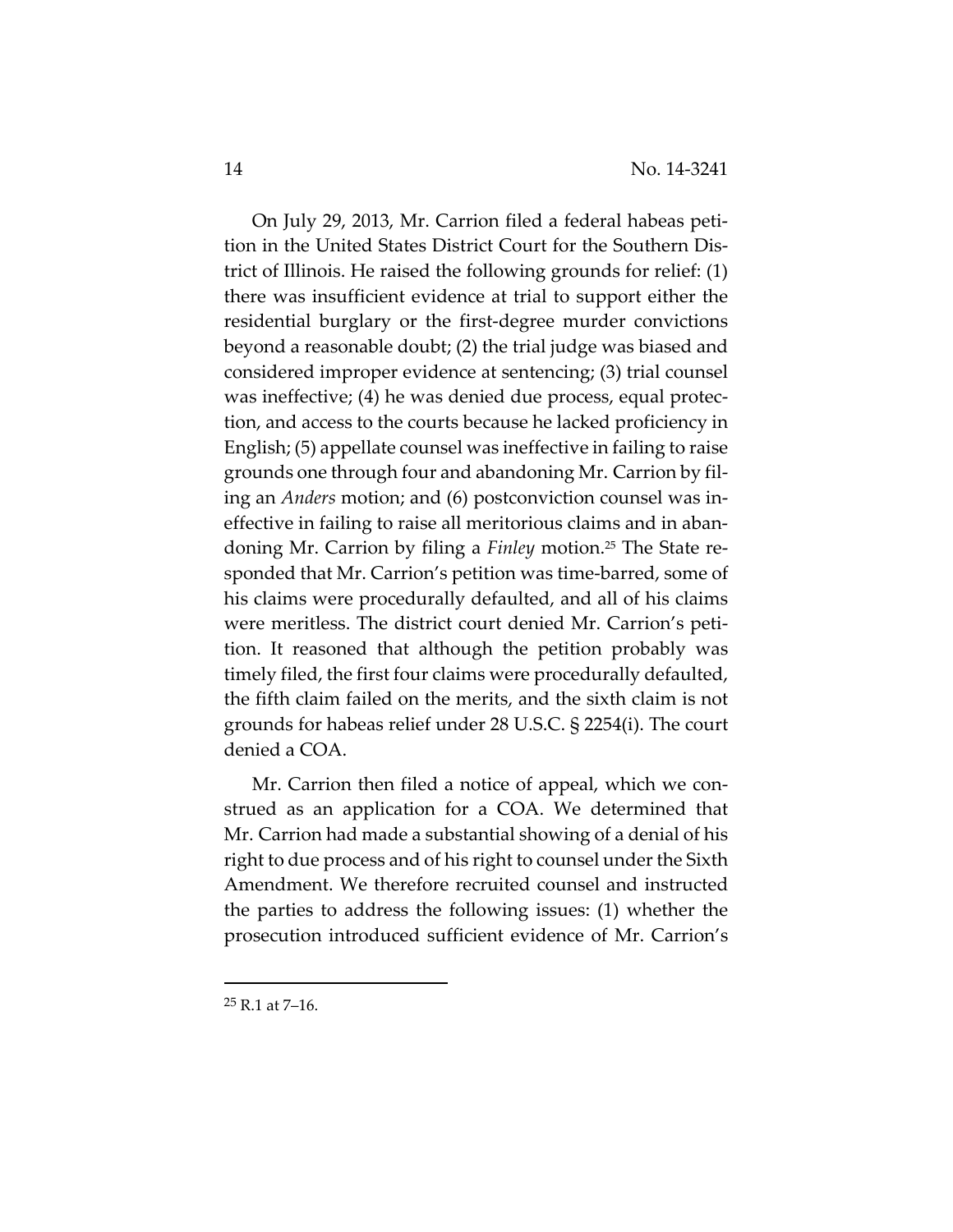On July 29, 2013, Mr. Carrion filed a federal habeas peti‐ tion in the United States District Court for the Southern Dis‐ trict of Illinois. He raised the following grounds for relief: (1) there was insufficient evidence at trial to support either the residential burglary or the first‐degree murder convictions beyond a reasonable doubt; (2) the trial judge was biased and considered improper evidence at sentencing; (3) trial counsel was ineffective; (4) he was denied due process, equal protec‐ tion, and access to the courts because he lacked proficiency in English; (5) appellate counsel was ineffective in failing to raise grounds one through four and abandoning Mr. Carrion by fil‐ ing an *Anders* motion; and (6) postconviction counsel was in‐ effective in failing to raise all meritorious claims and in aban‐ doning Mr. Carrion by filing a *Finley* motion.25 The State re‐ sponded that Mr. Carrion's petition was time-barred, some of his claims were procedurally defaulted, and all of his claims were meritless. The district court denied Mr. Carrion's petition. It reasoned that although the petition probably was timely filed, the first four claims were procedurally defaulted, the fifth claim failed on the merits, and the sixth claim is not grounds for habeas relief under 28 U.S.C. § 2254(i). The court denied a COA.

Mr. Carrion then filed a notice of appeal, which we construed as an application for a COA. We determined that Mr. Carrion had made a substantial showing of a denial of his right to due process and of his right to counsel under the Sixth Amendment. We therefore recruited counsel and instructed the parties to address the following issues: (1) whether the prosecution introduced sufficient evidence of Mr. Carrion's

 $25$  R.1 at 7-16.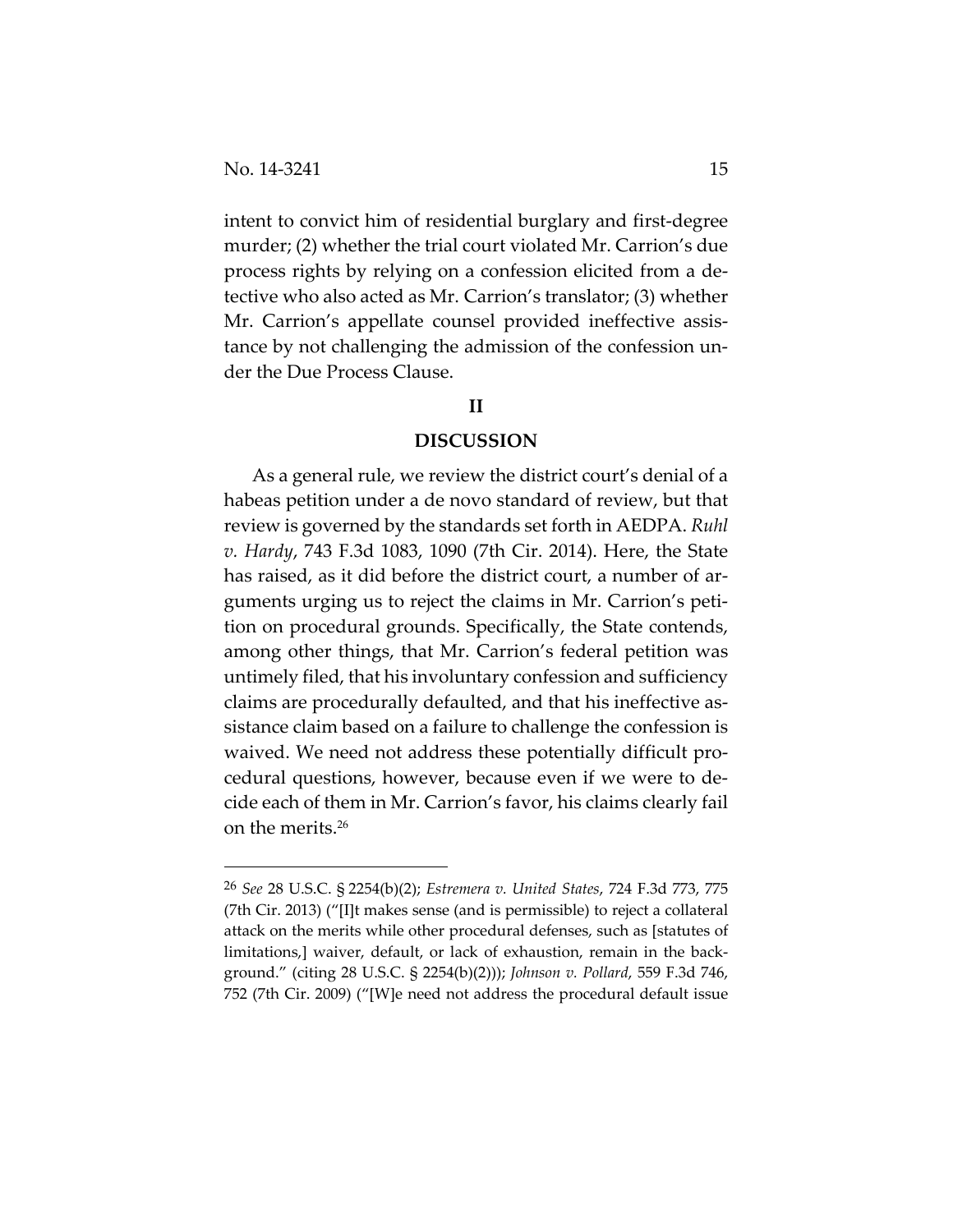intent to convict him of residential burglary and first‐degree murder; (2) whether the trial court violated Mr. Carrion's due process rights by relying on a confession elicited from a de‐ tective who also acted as Mr. Carrion's translator; (3) whether Mr. Carrion's appellate counsel provided ineffective assistance by not challenging the admission of the confession un‐ der the Due Process Clause.

## **II**

## **DISCUSSION**

As a general rule, we review the district court's denial of a habeas petition under a de novo standard of review, but that review is governed by the standards set forth in AEDPA. *Ruhl v. Hardy*, 743 F.3d 1083, 1090 (7th Cir. 2014). Here, the State has raised, as it did before the district court, a number of arguments urging us to reject the claims in Mr. Carrion's peti‐ tion on procedural grounds. Specifically, the State contends, among other things, that Mr. Carrion's federal petition was untimely filed, that his involuntary confession and sufficiency claims are procedurally defaulted, and that his ineffective as‐ sistance claim based on a failure to challenge the confession is waived. We need not address these potentially difficult pro‐ cedural questions, however, because even if we were to de‐ cide each of them in Mr. Carrion's favor, his claims clearly fail on the merits.26

<sup>26</sup> *See* 28 U.S.C. § 2254(b)(2); *Estremera v. United States*, 724 F.3d 773, 775 (7th Cir. 2013) ("[I]t makes sense (and is permissible) to reject a collateral attack on the merits while other procedural defenses, such as [statutes of limitations,] waiver, default, or lack of exhaustion, remain in the back‐ ground." (citing 28 U.S.C. § 2254(b)(2))); *Johnson v. Pollard*, 559 F.3d 746, 752 (7th Cir. 2009) ("[W]e need not address the procedural default issue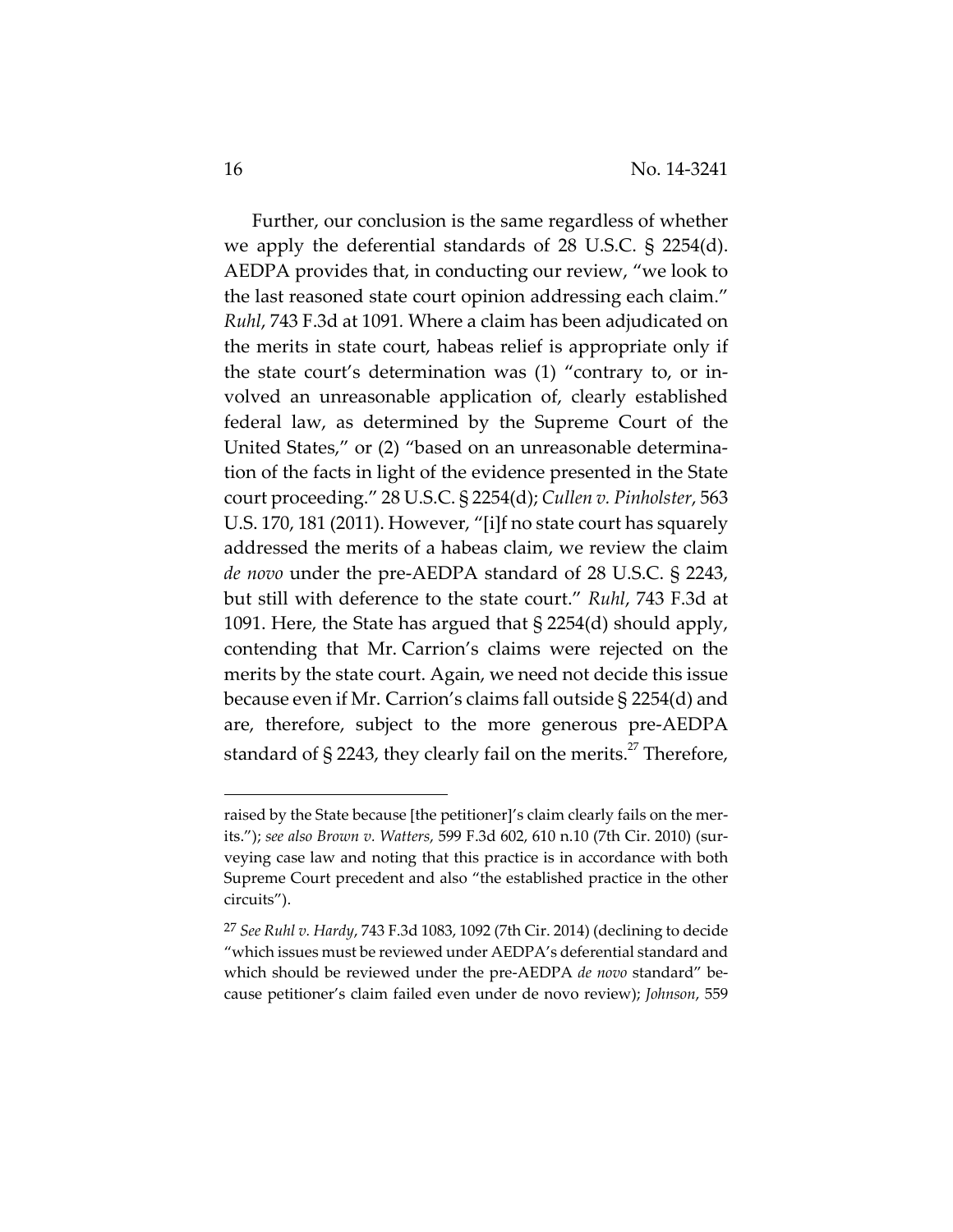Further, our conclusion is the same regardless of whether we apply the deferential standards of 28 U.S.C. § 2254(d). AEDPA provides that, in conducting our review, "we look to the last reasoned state court opinion addressing each claim." *Ruhl*, 743 F.3d at 1091*.* Where a claim has been adjudicated on the merits in state court, habeas relief is appropriate only if the state court's determination was (1) "contrary to, or in‐ volved an unreasonable application of, clearly established federal law, as determined by the Supreme Court of the United States," or (2) "based on an unreasonable determina‐ tion of the facts in light of the evidence presented in the State court proceeding." 28 U.S.C. § 2254(d); *Cullen v. Pinholster*, 563 U.S. 170, 181 (2011). However, "[i]f no state court has squarely addressed the merits of a habeas claim, we review the claim *de novo* under the pre‐AEDPA standard of 28 U.S.C. § 2243, but still with deference to the state court." *Ruhl*, 743 F.3d at 1091. Here, the State has argued that § 2254(d) should apply, contending that Mr. Carrion's claims were rejected on the merits by the state court. Again, we need not decide this issue because even if Mr. Carrion's claims fall outside § 2254(d) and are, therefore, subject to the more generous pre‐AEDPA standard of § 2243, they clearly fail on the merits.<sup>27</sup> Therefore,

raised by the State because [the petitioner]'s claim clearly fails on the merits."); *see also Brown v. Watters*, 599 F.3d 602, 610 n.10 (7th Cir. 2010) (sur‐ veying case law and noting that this practice is in accordance with both Supreme Court precedent and also "the established practice in the other circuits").

<sup>27</sup> *See Ruhl v. Hardy*, 743 F.3d 1083, 1092 (7th Cir. 2014) (declining to decide "which issues must be reviewed under AEDPA's deferential standard and which should be reviewed under the pre‐AEDPA *de novo* standard" be‐ cause petitioner's claim failed even under de novo review); *Johnson*, 559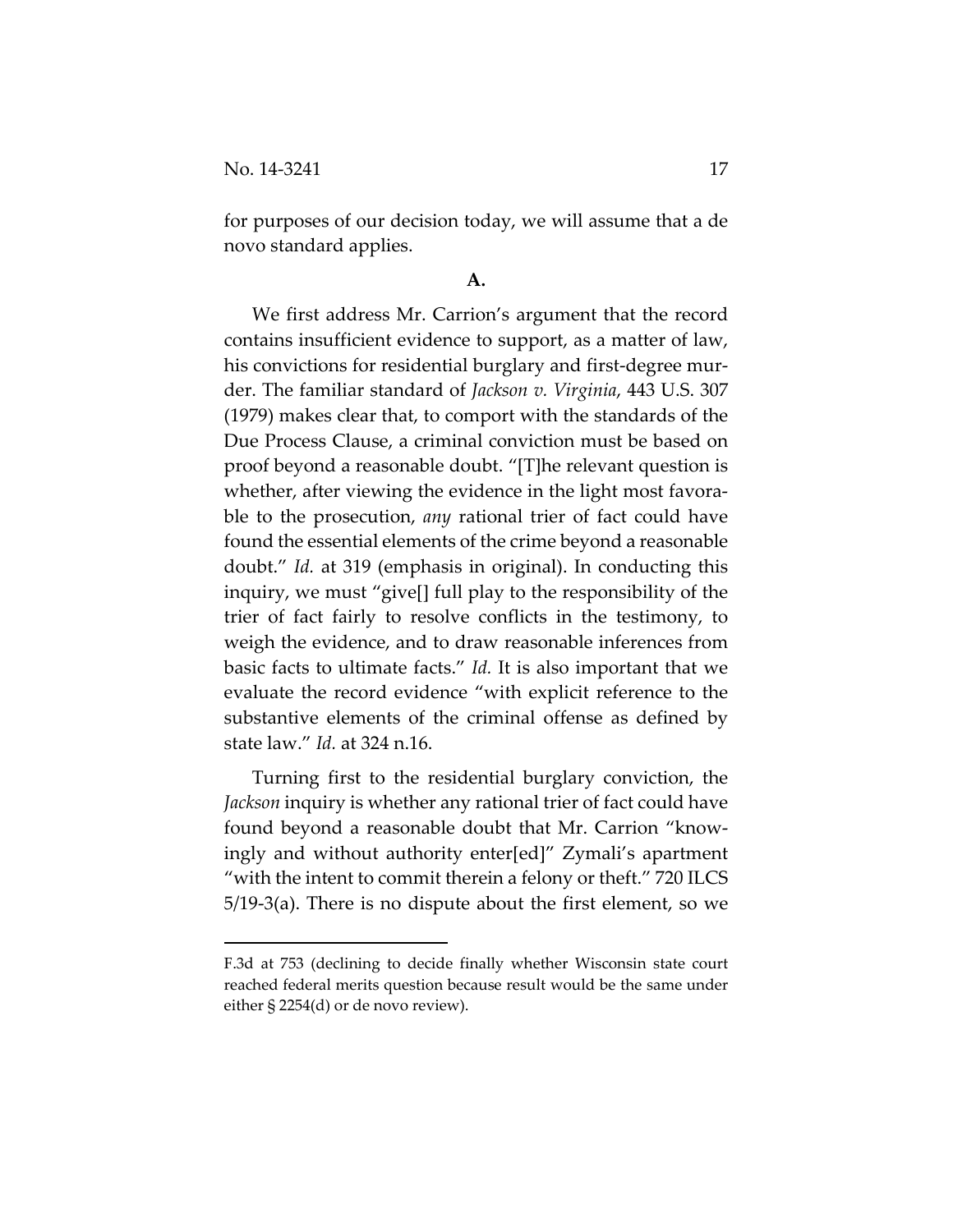for purposes of our decision today, we will assume that a de novo standard applies.

## **A.**

We first address Mr. Carrion's argument that the record contains insufficient evidence to support, as a matter of law, his convictions for residential burglary and first-degree murder. The familiar standard of *Jackson v. Virginia*, 443 U.S. 307 (1979) makes clear that, to comport with the standards of the Due Process Clause, a criminal conviction must be based on proof beyond a reasonable doubt. "[T]he relevant question is whether, after viewing the evidence in the light most favorable to the prosecution, *any* rational trier of fact could have found the essential elements of the crime beyond a reasonable doubt." *Id.* at 319 (emphasis in original). In conducting this inquiry, we must "give[] full play to the responsibility of the trier of fact fairly to resolve conflicts in the testimony, to weigh the evidence, and to draw reasonable inferences from basic facts to ultimate facts." *Id.* It is also important that we evaluate the record evidence "with explicit reference to the substantive elements of the criminal offense as defined by state law." *Id.* at 324 n.16.

Turning first to the residential burglary conviction, the *Jackson* inquiry is whether any rational trier of fact could have found beyond a reasonable doubt that Mr. Carrion "know‐ ingly and without authority enter[ed]" Zymali's apartment "with the intent to commit therein a felony or theft." 720 ILCS 5/19‐3(a). There is no dispute about the first element, so we

F.3d at 753 (declining to decide finally whether Wisconsin state court reached federal merits question because result would be the same under either § 2254(d) or de novo review).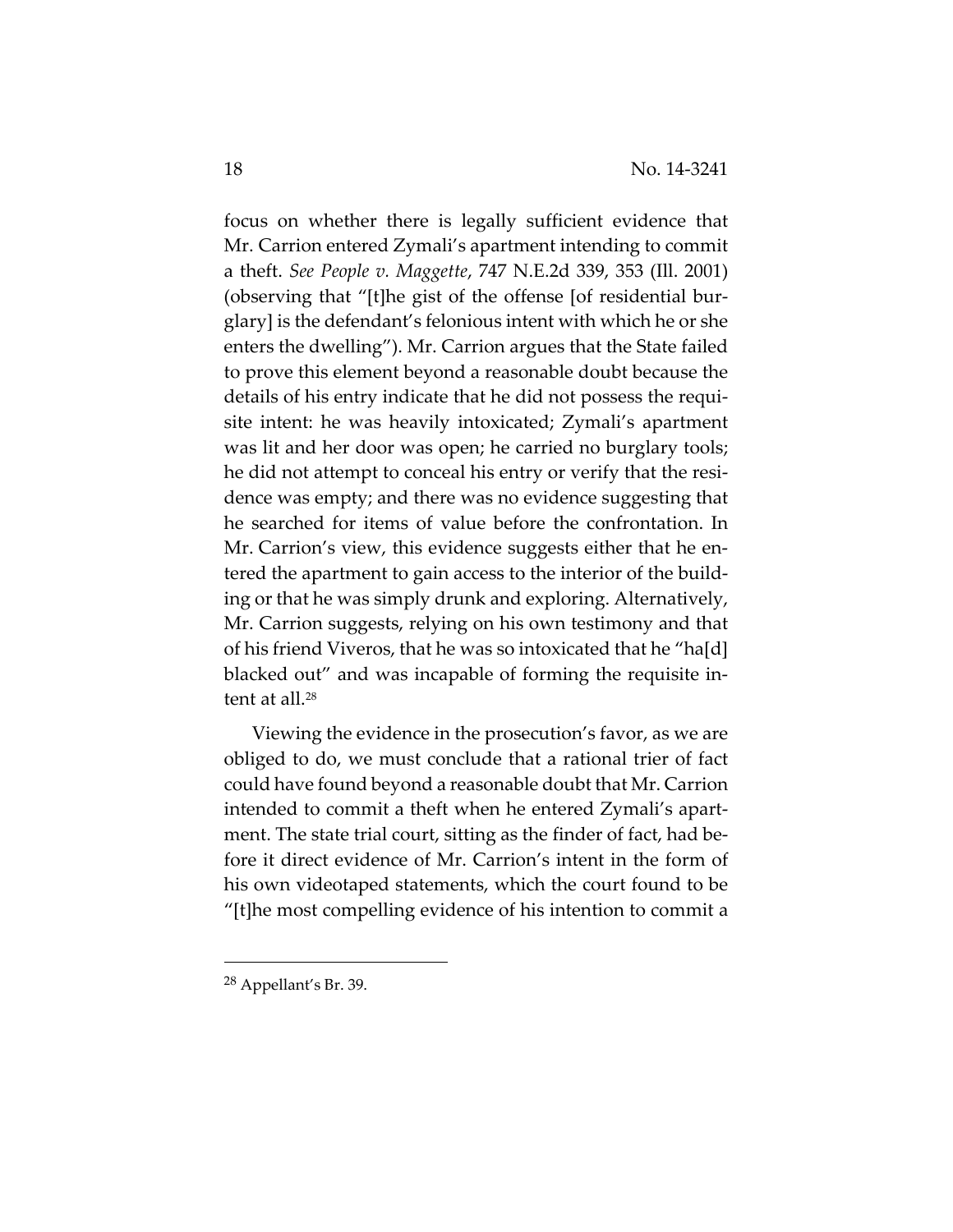focus on whether there is legally sufficient evidence that Mr. Carrion entered Zymali's apartment intending to commit a theft. *See People v. Maggette*, 747 N.E.2d 339, 353 (Ill. 2001) (observing that "[t]he gist of the offense [of residential bur‐ glary] is the defendant's felonious intent with which he or she enters the dwelling"). Mr. Carrion argues that the State failed to prove this element beyond a reasonable doubt because the details of his entry indicate that he did not possess the requi‐ site intent: he was heavily intoxicated; Zymali's apartment was lit and her door was open; he carried no burglary tools; he did not attempt to conceal his entry or verify that the residence was empty; and there was no evidence suggesting that he searched for items of value before the confrontation. In Mr. Carrion's view, this evidence suggests either that he entered the apartment to gain access to the interior of the build‐ ing or that he was simply drunk and exploring. Alternatively, Mr. Carrion suggests, relying on his own testimony and that of his friend Viveros, that he was so intoxicated that he "ha[d] blacked out" and was incapable of forming the requisite in‐ tent at all.<sup>28</sup>

Viewing the evidence in the prosecution's favor, as we are obliged to do, we must conclude that a rational trier of fact could have found beyond a reasonable doubt that Mr. Carrion intended to commit a theft when he entered Zymali's apart‐ ment. The state trial court, sitting as the finder of fact, had be‐ fore it direct evidence of Mr. Carrion's intent in the form of his own videotaped statements, which the court found to be "[t]he most compelling evidence of his intention to commit a

<sup>28</sup> Appellant's Br. 39.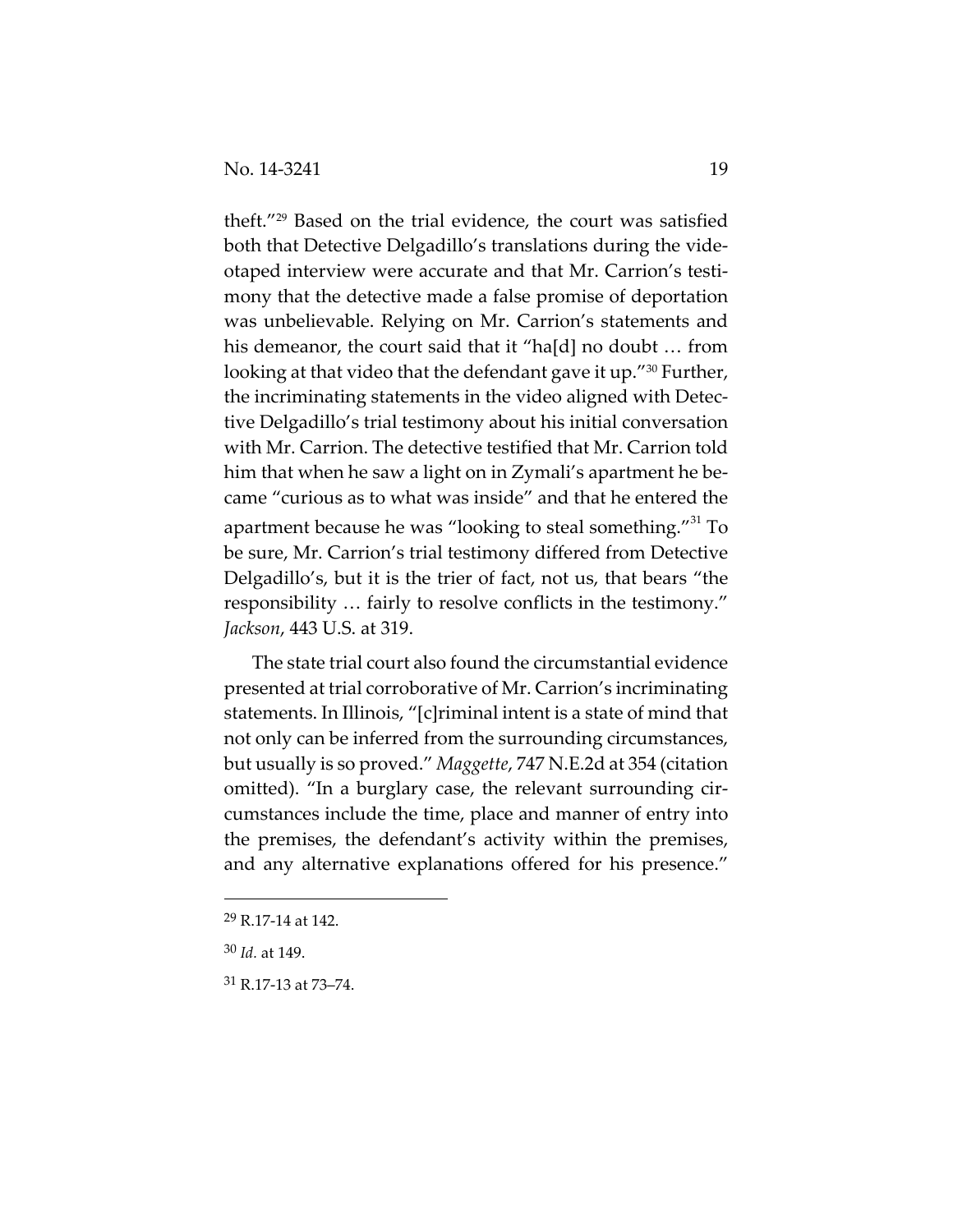theft."29 Based on the trial evidence, the court was satisfied both that Detective Delgadillo's translations during the vide‐ otaped interview were accurate and that Mr. Carrion's testi‐ mony that the detective made a false promise of deportation was unbelievable. Relying on Mr. Carrion's statements and his demeanor, the court said that it "ha[d] no doubt ... from looking at that video that the defendant gave it up."<sup>30</sup> Further, the incriminating statements in the video aligned with Detec‐ tive Delgadillo's trial testimony about his initial conversation with Mr. Carrion. The detective testified that Mr. Carrion told him that when he saw a light on in Zymali's apartment he became "curious as to what was inside" and that he entered the apartment because he was "looking to steal something."<sup>31</sup> To be sure, Mr. Carrion's trial testimony differed from Detective Delgadillo's, but it is the trier of fact, not us, that bears "the responsibility … fairly to resolve conflicts in the testimony." *Jackson*, 443 U.S. at 319.

The state trial court also found the circumstantial evidence presented at trial corroborative of Mr. Carrion's incriminating statements. In Illinois, "[c]riminal intent is a state of mind that not only can be inferred from the surrounding circumstances, but usually is so proved." *Maggette*, 747 N.E.2d at 354 (citation omitted). "In a burglary case, the relevant surrounding cir‐ cumstances include the time, place and manner of entry into the premises, the defendant's activity within the premises, and any alternative explanations offered for his presence."

<sup>29</sup> R.17‐14 at 142.

<sup>30</sup> *Id.* at 149.

<sup>31</sup> R.17‐13 at 73–74.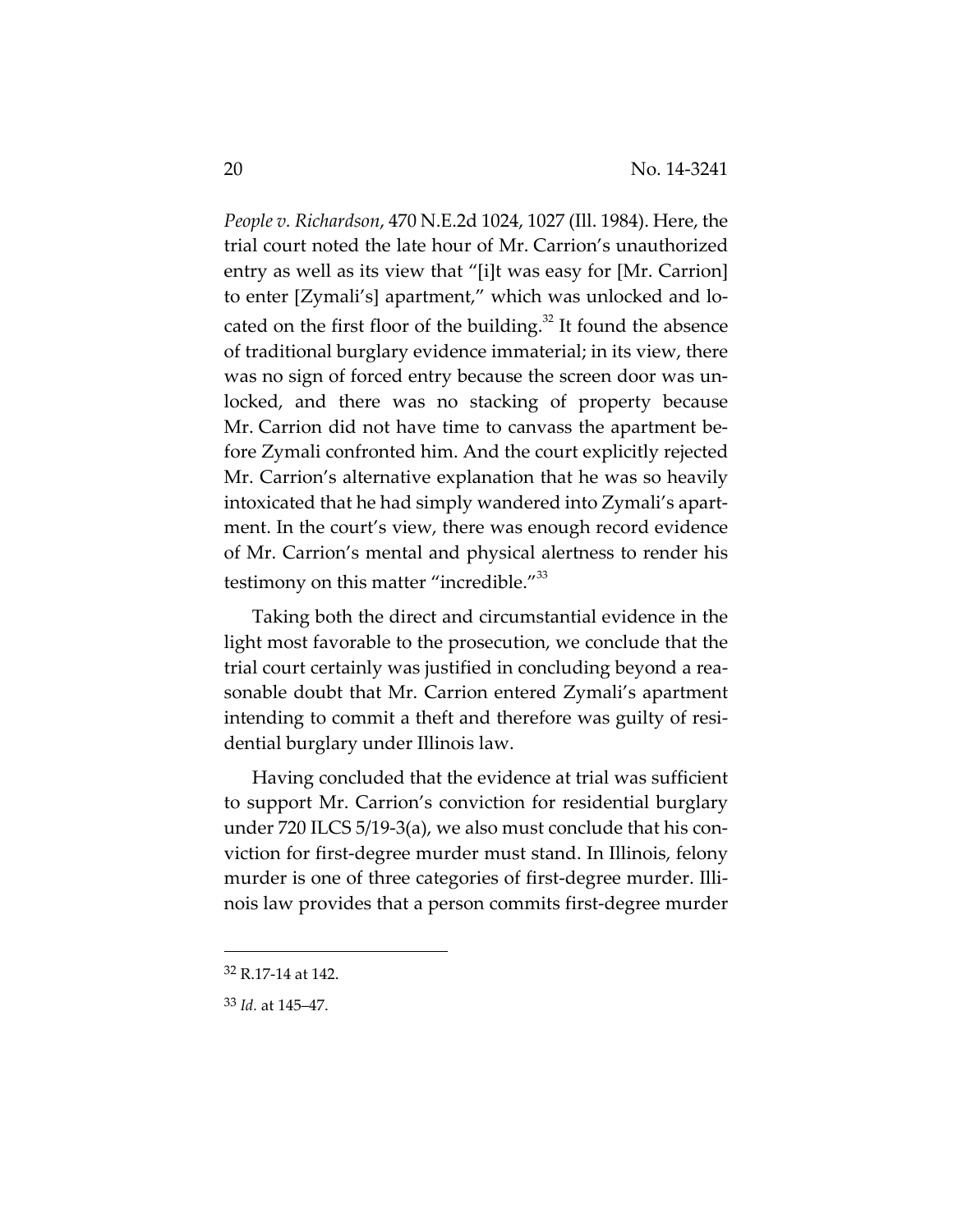*People v. Richardson*, 470 N.E.2d 1024, 1027 (Ill. 1984). Here, the trial court noted the late hour of Mr. Carrion's unauthorized entry as well as its view that "[i]t was easy for [Mr. Carrion] to enter [Zymali's] apartment," which was unlocked and lo‐ cated on the first floor of the building. $32$  It found the absence of traditional burglary evidence immaterial; in its view, there was no sign of forced entry because the screen door was unlocked, and there was no stacking of property because Mr. Carrion did not have time to canvass the apartment before Zymali confronted him. And the court explicitly rejected Mr. Carrion's alternative explanation that he was so heavily intoxicated that he had simply wandered into Zymali's apart‐ ment. In the court's view, there was enough record evidence of Mr. Carrion's mental and physical alertness to render his testimony on this matter "incredible."<sup>33</sup>

Taking both the direct and circumstantial evidence in the light most favorable to the prosecution, we conclude that the trial court certainly was justified in concluding beyond a rea‐ sonable doubt that Mr. Carrion entered Zymali's apartment intending to commit a theft and therefore was guilty of resi‐ dential burglary under Illinois law.

Having concluded that the evidence at trial was sufficient to support Mr. Carrion's conviction for residential burglary under 720 ILCS 5/19‐3(a), we also must conclude that his con‐ viction for first‐degree murder must stand. In Illinois, felony murder is one of three categories of first-degree murder. Illinois law provides that a person commits first‐degree murder

<sup>32</sup> R.17‐14 at 142.

<sup>33</sup> *Id.* at 145–47.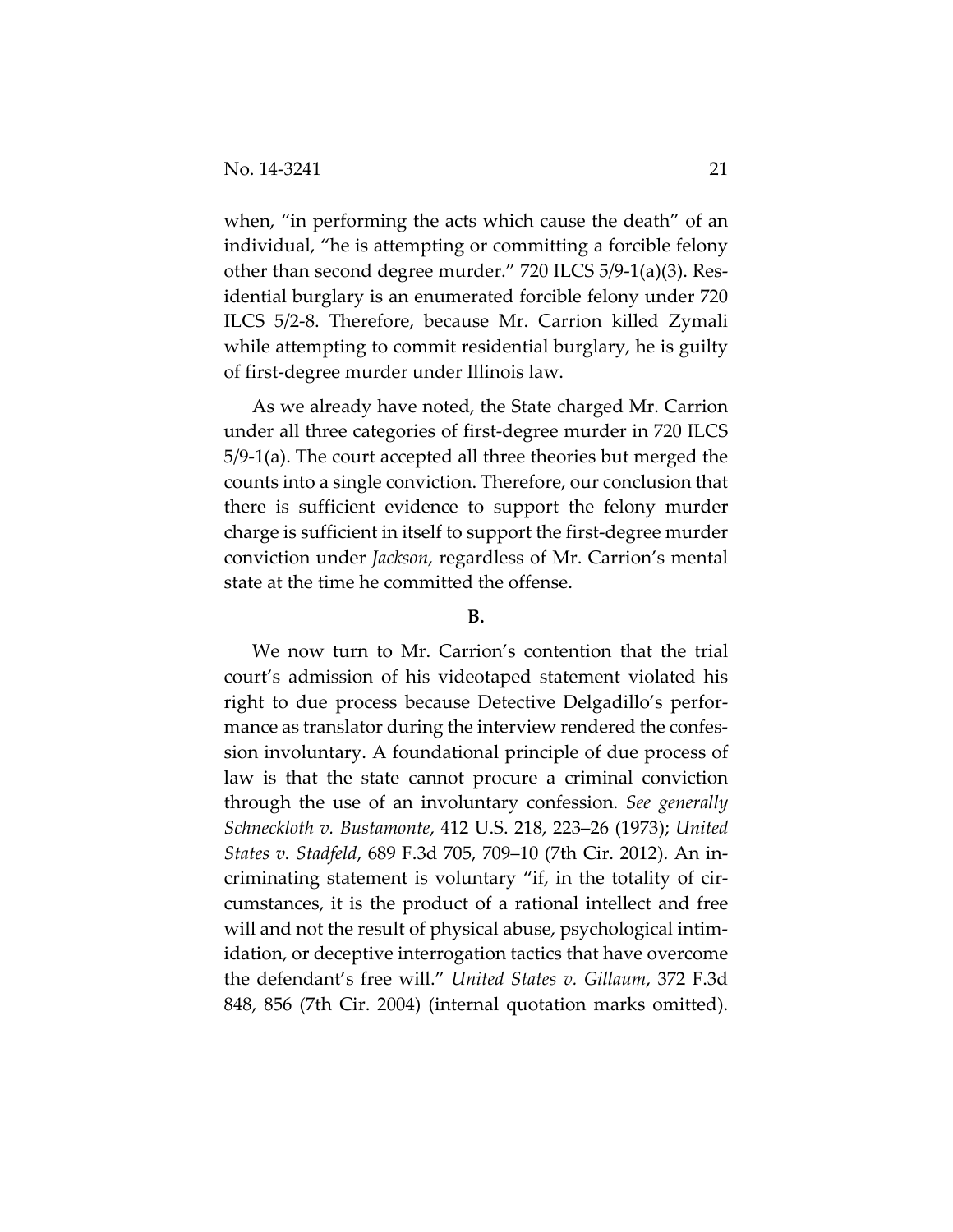when, "in performing the acts which cause the death" of an individual, "he is attempting or committing a forcible felony other than second degree murder." 720 ILCS 5/9‐1(a)(3). Res‐ idential burglary is an enumerated forcible felony under 720 ILCS 5/2‐8. Therefore, because Mr. Carrion killed Zymali while attempting to commit residential burglary, he is guilty of first‐degree murder under Illinois law.

As we already have noted, the State charged Mr. Carrion under all three categories of first‐degree murder in 720 ILCS 5/9‐1(a). The court accepted all three theories but merged the counts into a single conviction. Therefore, our conclusion that there is sufficient evidence to support the felony murder charge is sufficient in itself to support the first‐degree murder conviction under *Jackson*, regardless of Mr. Carrion's mental state at the time he committed the offense.

#### **B.**

We now turn to Mr. Carrion's contention that the trial court's admission of his videotaped statement violated his right to due process because Detective Delgadillo's perfor‐ mance as translator during the interview rendered the confession involuntary. A foundational principle of due process of law is that the state cannot procure a criminal conviction through the use of an involuntary confession. *See generally Schneckloth v. Bustamonte*, 412 U.S. 218, 223–26 (1973); *United States v. Stadfeld*, 689 F.3d 705, 709–10 (7th Cir. 2012). An in‐ criminating statement is voluntary "if, in the totality of cir‐ cumstances, it is the product of a rational intellect and free will and not the result of physical abuse, psychological intim‐ idation, or deceptive interrogation tactics that have overcome the defendant's free will." *United States v. Gillaum*, 372 F.3d 848, 856 (7th Cir. 2004) (internal quotation marks omitted).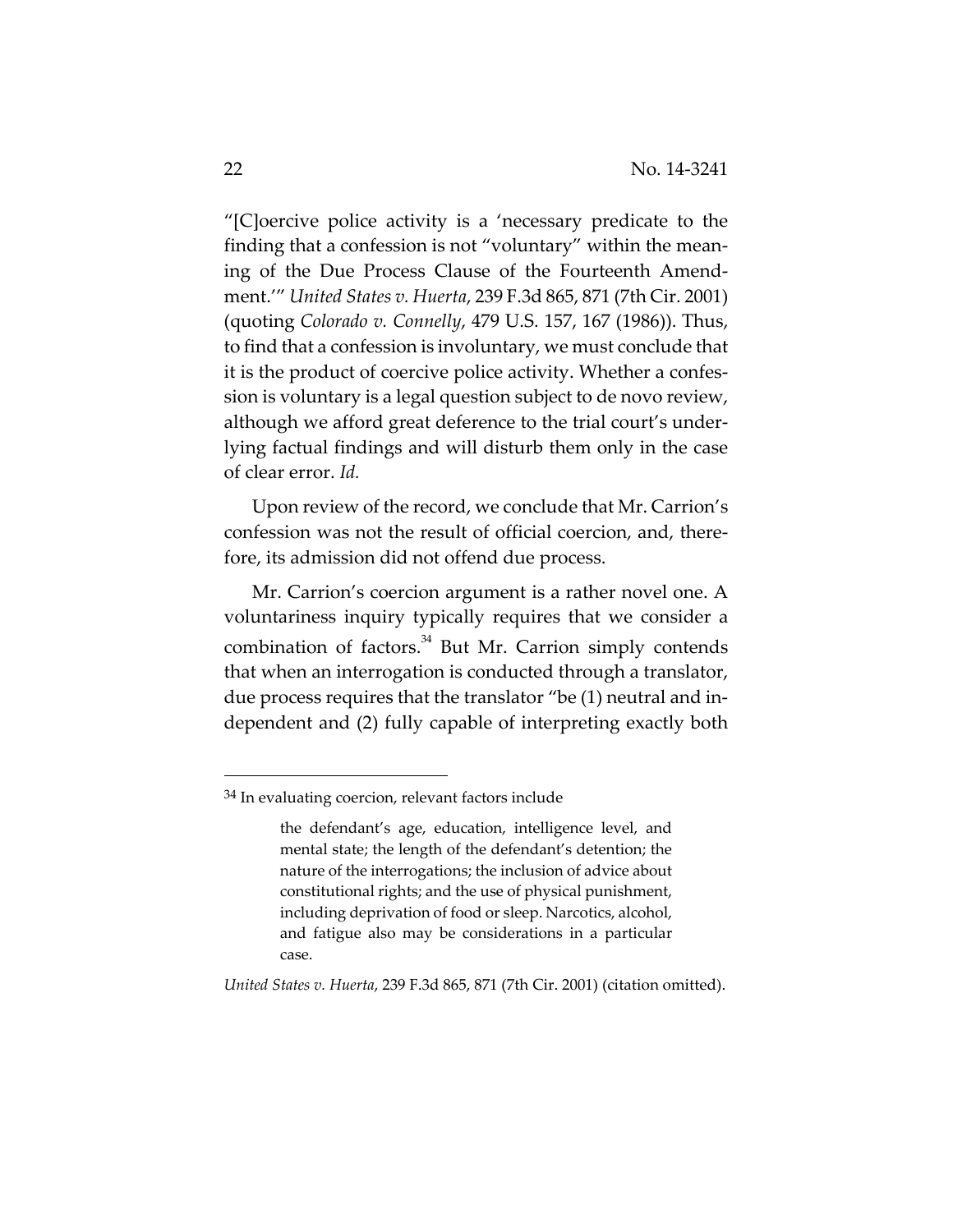"[C]oercive police activity is a 'necessary predicate to the finding that a confession is not "voluntary" within the mean‐ ing of the Due Process Clause of the Fourteenth Amend‐ ment.'" *United States v. Huerta*, 239 F.3d 865, 871 (7th Cir. 2001) (quoting *Colorado v. Connelly*, 479 U.S. 157, 167 (1986)). Thus, to find that a confession is involuntary, we must conclude that it is the product of coercive police activity. Whether a confes‐ sion is voluntary is a legal question subject to de novo review, although we afford great deference to the trial court's under‐ lying factual findings and will disturb them only in the case of clear error. *Id.*

Upon review of the record, we conclude that Mr. Carrion's confession was not the result of official coercion, and, there‐ fore, its admission did not offend due process.

Mr. Carrion's coercion argument is a rather novel one. A voluntariness inquiry typically requires that we consider a combination of factors.<sup>34</sup> But Mr. Carrion simply contends that when an interrogation is conducted through a translator, due process requires that the translator "be (1) neutral and in‐ dependent and (2) fully capable of interpreting exactly both

*United States v. Huerta*, 239 F.3d 865, 871 (7th Cir. 2001) (citation omitted).

<sup>34</sup> In evaluating coercion, relevant factors include

the defendant's age, education, intelligence level, and mental state; the length of the defendant's detention; the nature of the interrogations; the inclusion of advice about constitutional rights; and the use of physical punishment, including deprivation of food or sleep. Narcotics, alcohol, and fatigue also may be considerations in a particular case.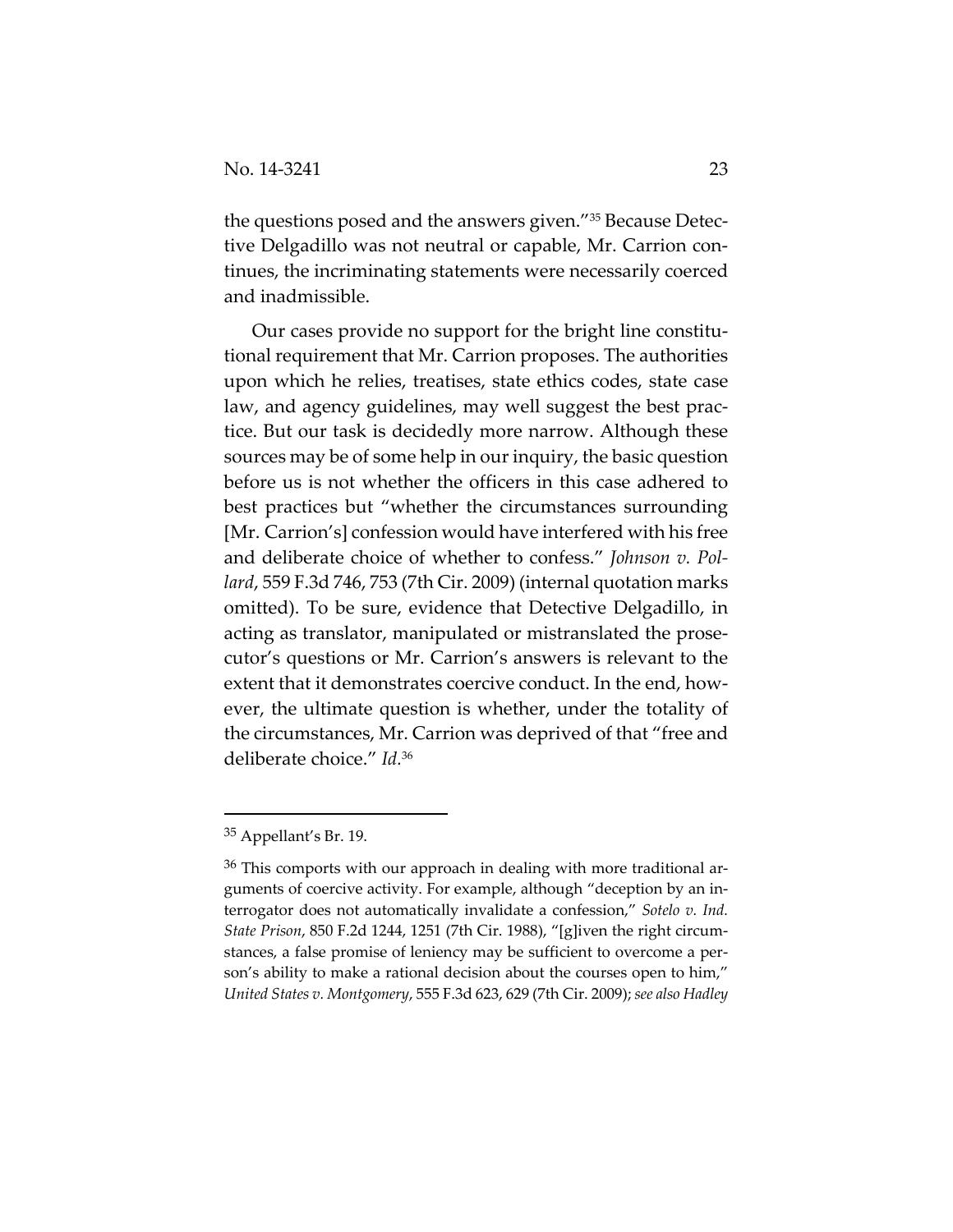the questions posed and the answers given."35 Because Detec‐ tive Delgadillo was not neutral or capable, Mr. Carrion con‐ tinues, the incriminating statements were necessarily coerced and inadmissible.

Our cases provide no support for the bright line constitu‐ tional requirement that Mr. Carrion proposes. The authorities upon which he relies, treatises, state ethics codes, state case law, and agency guidelines, may well suggest the best prac‐ tice. But our task is decidedly more narrow. Although these sources may be of some help in our inquiry, the basic question before us is not whether the officers in this case adhered to best practices but "whether the circumstances surrounding [Mr. Carrion's] confession would have interfered with his free and deliberate choice of whether to confess." *Johnson v. Pol‐ lard*, 559 F.3d 746, 753 (7th Cir. 2009) (internal quotation marks omitted). To be sure, evidence that Detective Delgadillo, in acting as translator, manipulated or mistranslated the prose‐ cutor's questions or Mr. Carrion's answers is relevant to the extent that it demonstrates coercive conduct. In the end, however, the ultimate question is whether, under the totality of the circumstances, Mr. Carrion was deprived of that "free and deliberate choice." *Id.*<sup>36</sup>

<sup>35</sup> Appellant's Br. 19.

 $36$  This comports with our approach in dealing with more traditional arguments of coercive activity. For example, although "deception by an in‐ terrogator does not automatically invalidate a confession," *Sotelo v. Ind. State Prison*, 850 F.2d 1244, 1251 (7th Cir. 1988), "[g]iven the right circum‐ stances, a false promise of leniency may be sufficient to overcome a per‐ son's ability to make a rational decision about the courses open to him," *United States v. Montgomery*, 555 F.3d 623, 629 (7th Cir. 2009); *see also Hadley*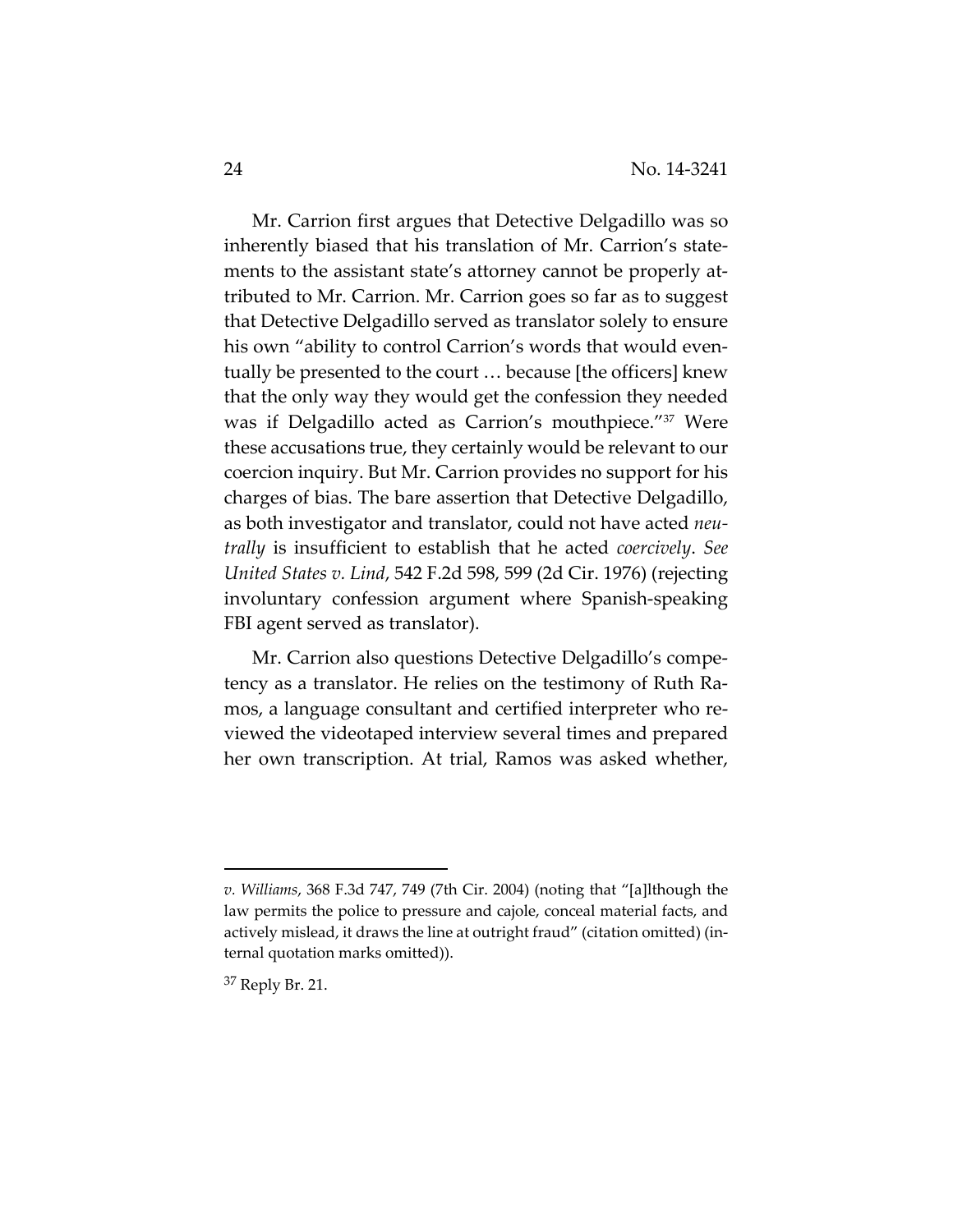Mr. Carrion first argues that Detective Delgadillo was so inherently biased that his translation of Mr. Carrion's state‐ ments to the assistant state's attorney cannot be properly attributed to Mr. Carrion. Mr. Carrion goes so far as to suggest that Detective Delgadillo served as translator solely to ensure his own "ability to control Carrion's words that would eventually be presented to the court … because [the officers] knew that the only way they would get the confession they needed was if Delgadillo acted as Carrion's mouthpiece."<sup>37</sup> Were these accusations true, they certainly would be relevant to our coercion inquiry. But Mr. Carrion provides no support for his charges of bias. The bare assertion that Detective Delgadillo, as both investigator and translator, could not have acted *neu‐ trally* is insufficient to establish that he acted *coercively*. *See United States v. Lind*, 542 F.2d 598, 599 (2d Cir. 1976) (rejecting involuntary confession argument where Spanish‐speaking FBI agent served as translator).

Mr. Carrion also questions Detective Delgadillo's competency as a translator. He relies on the testimony of Ruth Ra‐ mos, a language consultant and certified interpreter who re‐ viewed the videotaped interview several times and prepared her own transcription. At trial, Ramos was asked whether,

*v. Williams*, 368 F.3d 747, 749 (7th Cir. 2004) (noting that "[a]lthough the law permits the police to pressure and cajole, conceal material facts, and actively mislead, it draws the line at outright fraud" (citation omitted) (in‐ ternal quotation marks omitted)).

<sup>37</sup> Reply Br. 21.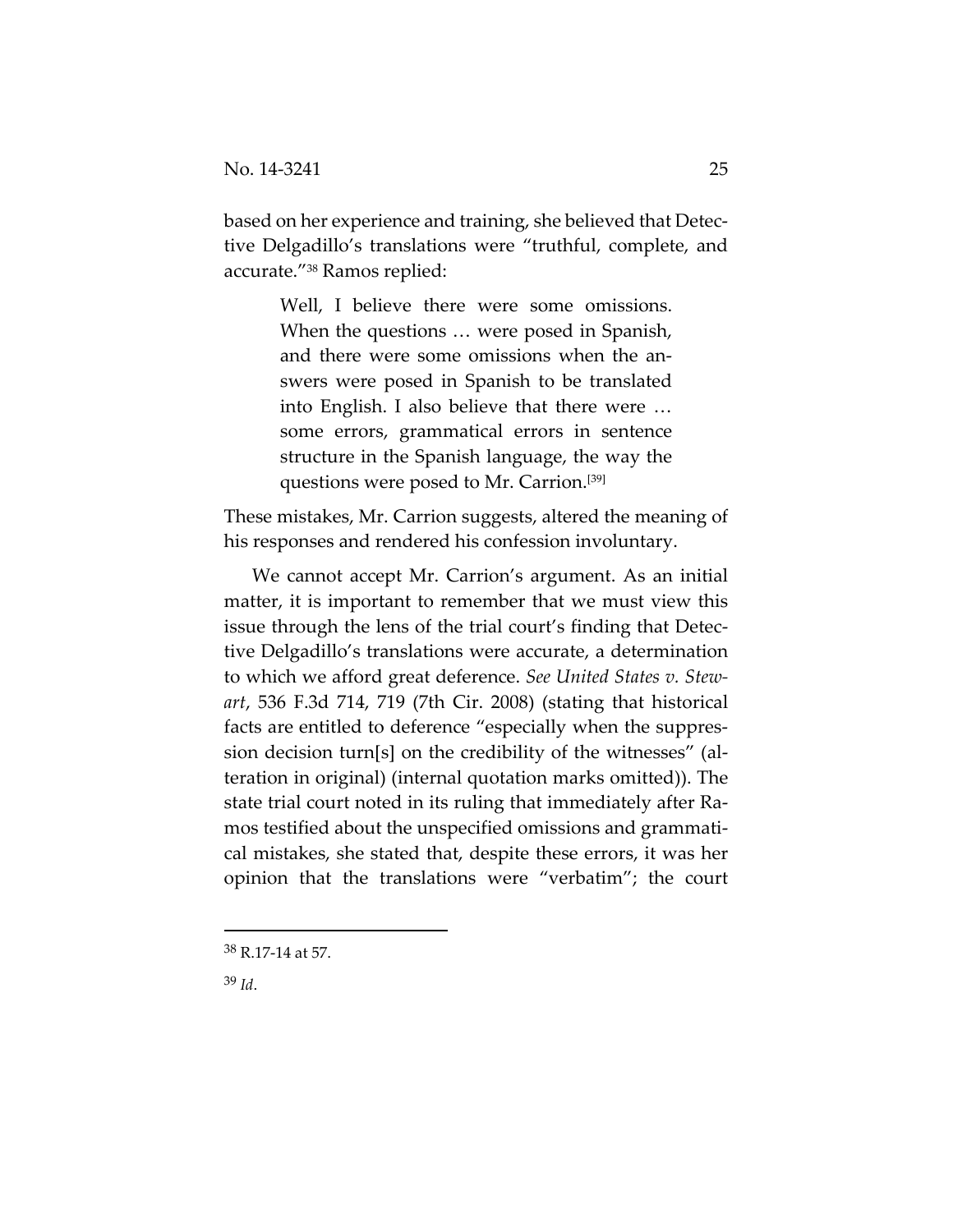based on her experience and training, she believed that Detec‐ tive Delgadillo's translations were "truthful, complete, and accurate."38 Ramos replied:

> Well, I believe there were some omissions. When the questions  $\ldots$  were posed in Spanish, and there were some omissions when the answers were posed in Spanish to be translated into English. I also believe that there were … some errors, grammatical errors in sentence structure in the Spanish language, the way the questions were posed to Mr. Carrion.[39]

These mistakes, Mr. Carrion suggests, altered the meaning of his responses and rendered his confession involuntary.

We cannot accept Mr. Carrion's argument. As an initial matter, it is important to remember that we must view this issue through the lens of the trial court's finding that Detec‐ tive Delgadillo's translations were accurate, a determination to which we afford great deference. *See United States v. Stew‐ art*, 536 F.3d 714, 719 (7th Cir. 2008) (stating that historical facts are entitled to deference "especially when the suppres‐ sion decision turn[s] on the credibility of the witnesses" (al‐ teration in original) (internal quotation marks omitted)). The state trial court noted in its ruling that immediately after Ra‐ mos testified about the unspecified omissions and grammati‐ cal mistakes, she stated that, despite these errors, it was her opinion that the translations were "verbatim"; the court

<sup>38</sup> R.17‐14 at 57.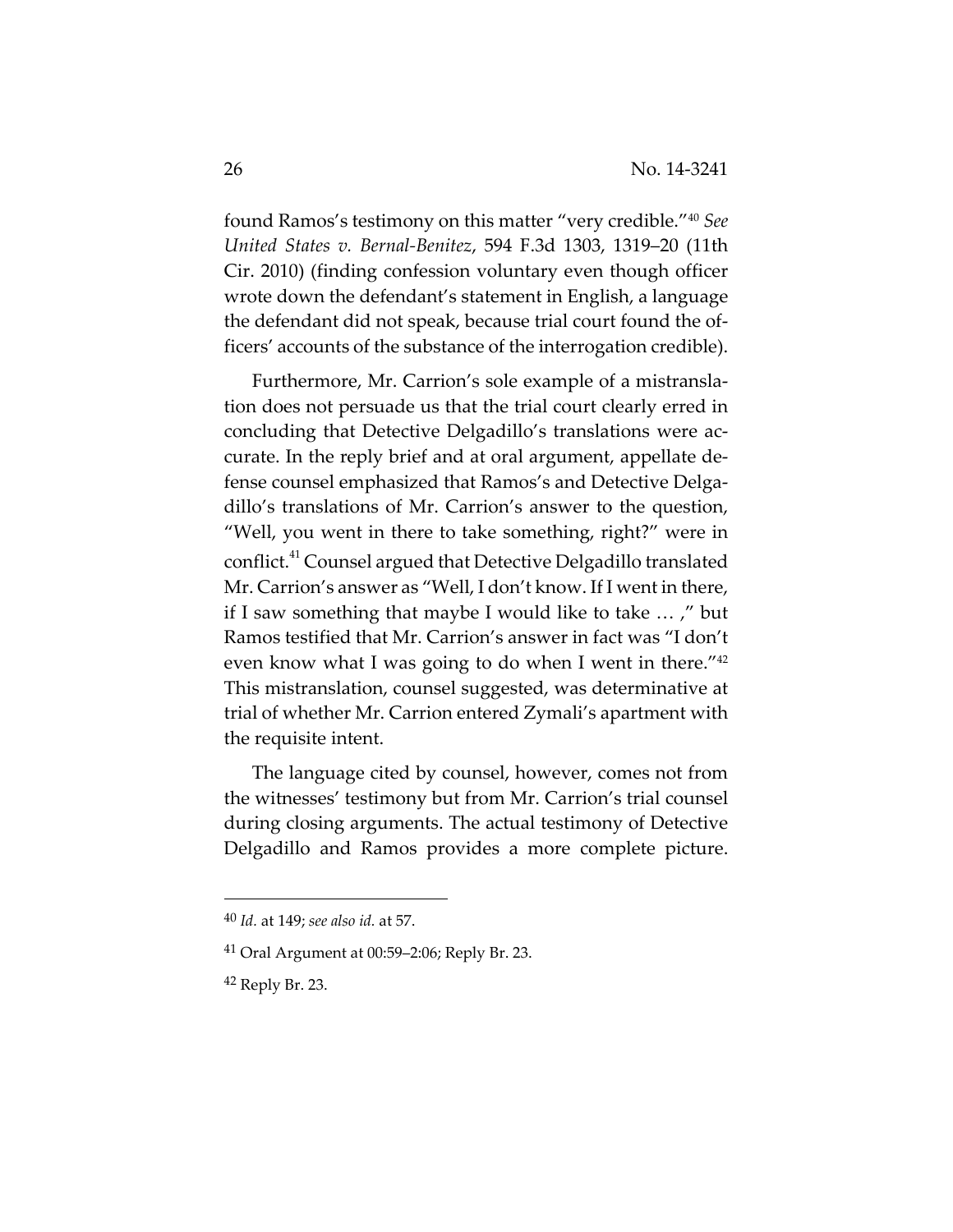found Ramos's testimony on this matter "very credible."40 *See United States v. Bernal‐Benitez*, 594 F.3d 1303, 1319–20 (11th Cir. 2010) (finding confession voluntary even though officer wrote down the defendant's statement in English, a language the defendant did not speak, because trial court found the of‐ ficers' accounts of the substance of the interrogation credible).

Furthermore, Mr. Carrion's sole example of a mistransla‐ tion does not persuade us that the trial court clearly erred in concluding that Detective Delgadillo's translations were ac‐ curate. In the reply brief and at oral argument, appellate de‐ fense counsel emphasized that Ramos's and Detective Delga‐ dillo's translations of Mr. Carrion's answer to the question, "Well, you went in there to take something, right?" were in conflict.<sup>41</sup> Counsel argued that Detective Delgadillo translated Mr. Carrion's answer as "Well, I don't know. If I went in there, if I saw something that maybe I would like to take … ," but Ramos testified that Mr. Carrion's answer in fact was "I don't even know what I was going to do when I went in there."42 This mistranslation, counsel suggested, was determinative at trial of whether Mr. Carrion entered Zymali's apartment with the requisite intent.

The language cited by counsel, however, comes not from the witnesses' testimony but from Mr. Carrion's trial counsel during closing arguments. The actual testimony of Detective Delgadillo and Ramos provides a more complete picture.

<sup>40</sup> *Id.* at 149; *see also id.* at 57.

 $41$  Oral Argument at 00:59–2:06; Reply Br. 23.

<sup>42</sup> Reply Br. 23.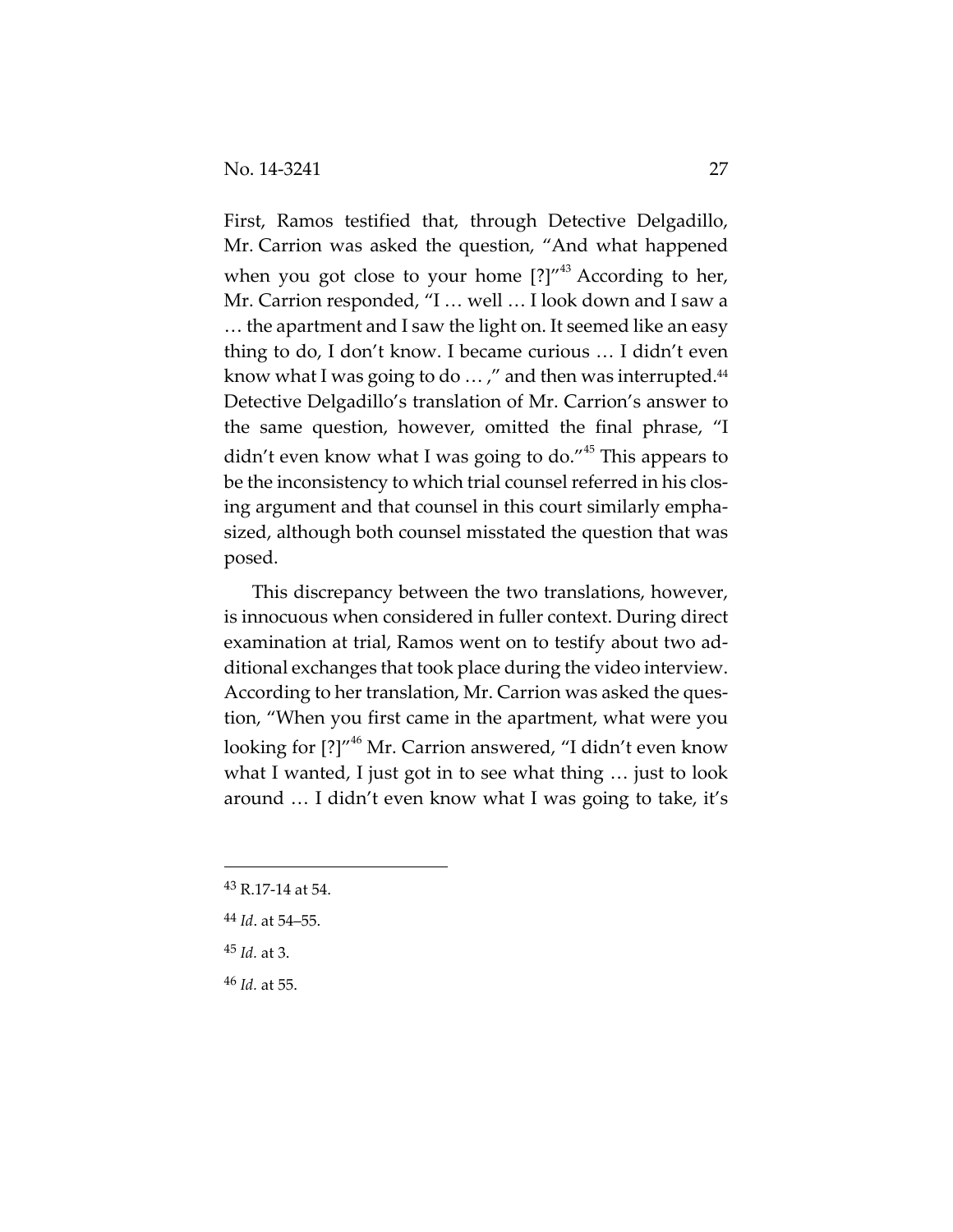First, Ramos testified that, through Detective Delgadillo, Mr. Carrion was asked the question, "And what happened when you got close to your home  $[?]''^{43}$  According to her, Mr. Carrion responded, "I … well … I look down and I saw a … the apartment and I saw the light on. It seemed like an easy thing to do, I don't know. I became curious … I didn't even know what I was going to do  $\ldots$ ," and then was interrupted.<sup>44</sup> Detective Delgadillo's translation of Mr. Carrion's answer to the same question, however, omitted the final phrase, "I didn't even know what I was going to do."<sup>45</sup> This appears to be the inconsistency to which trial counsel referred in his closing argument and that counsel in this court similarly empha‐ sized, although both counsel misstated the question that was posed.

This discrepancy between the two translations, however, is innocuous when considered in fuller context. During direct examination at trial, Ramos went on to testify about two ad‐ ditional exchanges that took place during the video interview. According to her translation, Mr. Carrion was asked the ques‐ tion, "When you first came in the apartment, what were you looking for [?]"<sup>46</sup> Mr. Carrion answered, "I didn't even know what I wanted, I just got in to see what thing … just to look around … I didn't even know what I was going to take, it's

<sup>43</sup> R.17‐14 at 54.

- <sup>44</sup> *Id*. at 54–55.
- <sup>45</sup> *Id.* at 3.
- <sup>46</sup> *Id.* at 55.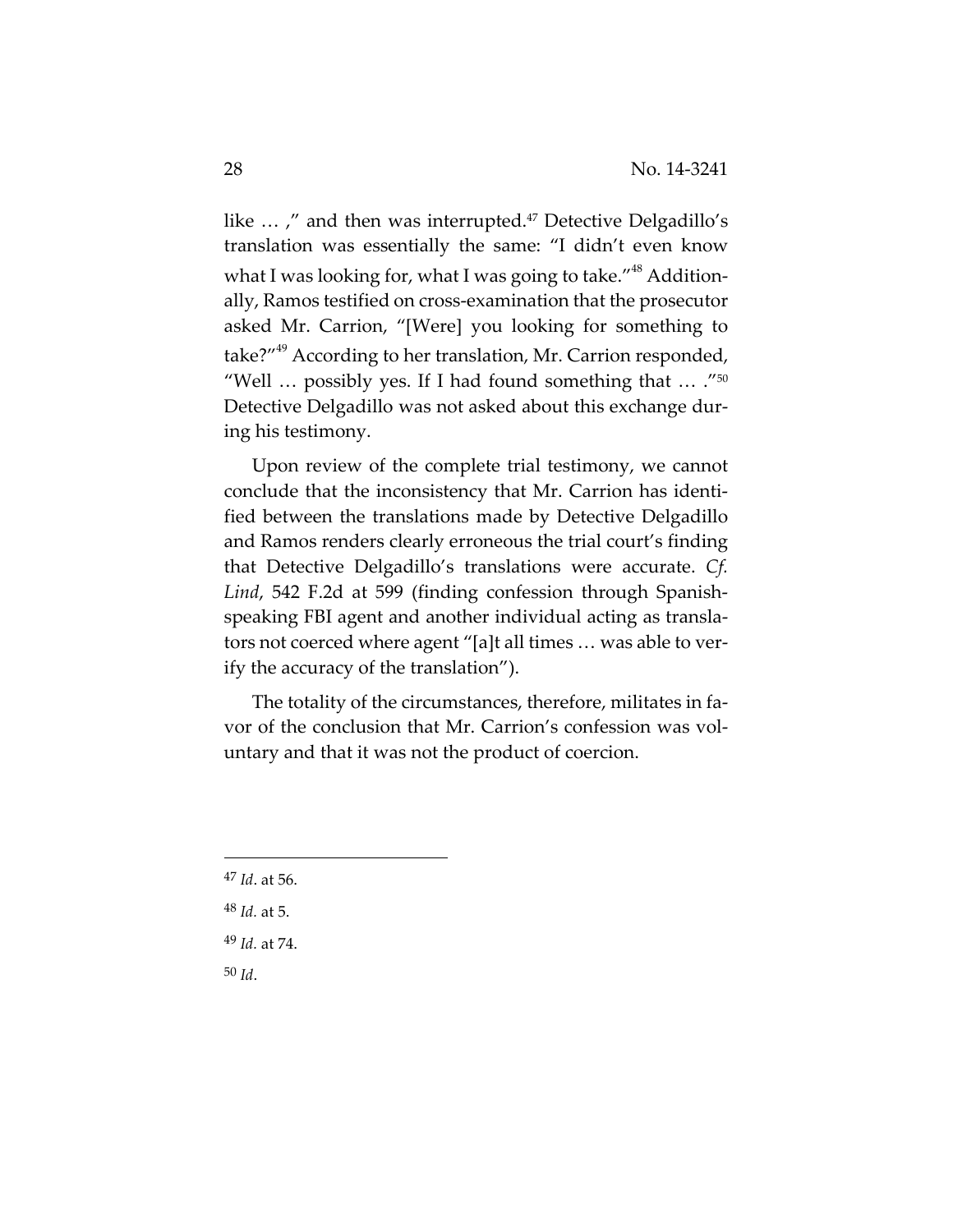like ...," and then was interrupted.<sup>47</sup> Detective Delgadillo's translation was essentially the same: "I didn't even know what I was looking for, what I was going to take."<sup>48</sup> Additionally, Ramos testified on cross‐examination that the prosecutor asked Mr. Carrion, "[Were] you looking for something to take?"<sup>49</sup> According to her translation, Mr. Carrion responded, "Well  $\ldots$  possibly yes. If I had found something that  $\ldots$  ."<sup>50</sup> Detective Delgadillo was not asked about this exchange dur‐ ing his testimony.

Upon review of the complete trial testimony, we cannot conclude that the inconsistency that Mr. Carrion has identi‐ fied between the translations made by Detective Delgadillo and Ramos renders clearly erroneous the trial court's finding that Detective Delgadillo's translations were accurate. *Cf. Lind*, 542 F.2d at 599 (finding confession through Spanish‐ speaking FBI agent and another individual acting as transla‐ tors not coerced where agent "[a]t all times … was able to ver‐ ify the accuracy of the translation").

The totality of the circumstances, therefore, militates in favor of the conclusion that Mr. Carrion's confession was vol‐ untary and that it was not the product of coercion.

<sup>47</sup> *Id*. at 56.

- <sup>48</sup> *Id.* at 5.
- <sup>49</sup> *Id.* at 74.
- <sup>50</sup> *Id*.